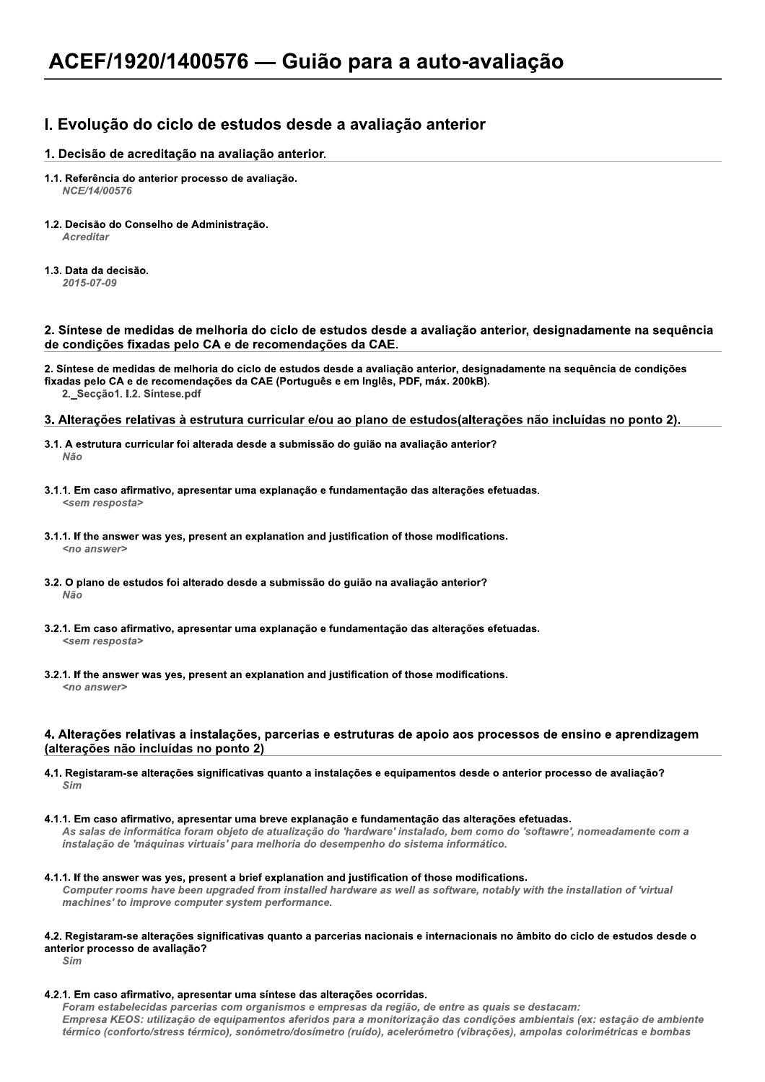# I. Evolução do ciclo de estudos desde a avaliação anterior

## 1. Decisão de acreditação na avaliação anterior.

- 1.1. Referência do anterior processo de avaliação. NCE/14/00576
- 1.2. Decisão do Conselho de Administração. **Acreditar**
- 1.3. Data da decisão.  $2015 - 07 - 09$

#### 2. Síntese de medidas de melhoria do ciclo de estudos desde a avaliação anterior, designadamente na sequência de condições fixadas pelo CA e de recomendações da CAE.

2. Síntese de medidas de melhoria do ciclo de estudos desde a avaliação anterior, designadamente na sequência de condições fixadas pelo CA e de recomendações da CAE (Português e em Inglês, PDF, máx. 200kB). 2. Secção1. I.2. Síntese.pdf

#### 3. Alterações relativas à estrutura curricular e/ou ao plano de estudos(alterações não incluídas no ponto 2).

- 3.1. A estrutura curricular foi alterada desde a submissão do guião na avaliação anterior? Não
- 3.1.1. Em caso afirmativo, apresentar uma explanação e fundamentação das alterações efetuadas. <sem resposta>
- 3.1.1. If the answer was yes, present an explanation and justification of those modifications. <no answer>
- 3.2. O plano de estudos foi alterado desde a submissão do guião na avaliação anterior? Não
- 3.2.1. Em caso afirmativo, apresentar uma explanação e fundamentação das alterações efetuadas. <sem resposta>
- 3.2.1. If the answer was yes, present an explanation and justification of those modifications.  $200 \text{ g}$

### 4. Alterações relativas a instalações, parcerias e estruturas de apoio aos processos de ensino e aprendizagem (alterações não incluídas no ponto 2)

- 4.1. Registaram-se alterações significativas quanto a instalações e equipamentos desde o anterior processo de avaliação? Sim
- 4.1.1. Em caso afirmativo, apresentar uma breve explanação e fundamentação das alterações efetuadas. As salas de informática foram objeto de atualização do 'hardware' instalado, bem como do 'softawre', nomeadamente com a instalação de 'máquinas virtuais' para melhoria do desempenho do sistema informático.
- 4.1.1. If the answer was yes, present a brief explanation and justification of those modifications. Computer rooms have been upgraded from installed hardware as well as software, notably with the installation of 'virtual machines' to improve computer system performance.

#### 4.2. Registaram-se alterações significativas quanto a parcerias nacionais e internacionais no âmbito do ciclo de estudos desde o anterior processo de avaliação?

 $Sim$ 

4.2.1. Em caso afirmativo, apresentar uma síntese das alterações ocorridas.

Foram estabelecidas parcerias com organismos e empresas da região, de entre as quais se destacam: Empresa KEOS: utilização de equipamentos aferidos para a monitorização das condições ambientais (ex: estação de ambiente térmico (conforto/stress térmico), sonómetro/dosímetro (ruído), acelerómetro (vibrações), ampolas colorimétricas e bombas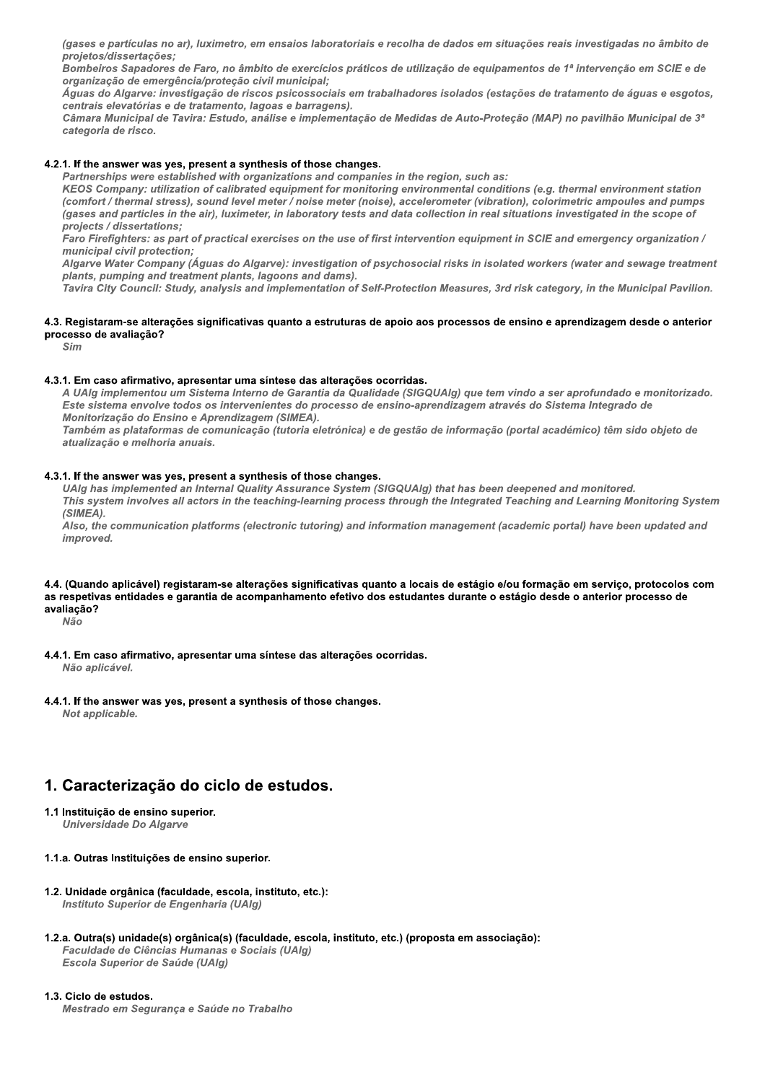(gases e partículas no ar), luximetro, em ensalos laboratoríais e recolha de dados em situações reais investigadas no ambito de projetos/dissertações;

Bombeiros Sapadores de Faro, no ambito de exercícios praticos de utilização de equipar nização de emergencia/proteção civil municipal;

Aguas do Algarve: investigação de riscos psicossociais em trabalhadores isolados (estações de tratamento de aguas e esgotos, centrais elevatorias e de tratamento, lagoas e barrag

(gases e partículas no ar), luximetro, em ensaios laboratoriais e recolha de dados em situações reais investigadas no âmbito de<br>projetos/dissertações;<br>Bombeiros Sapadores de Faro, no âmbito de exercícios práticos de utiliz ra municipal de Tavira: Estudo, analise e implementação de Medidas de Auto-Proteção (MAP) no pavilhão municipal de 3º categoria de risco.

#### 4.2.1. If the answer was yes, present a synthesis of those changes.

Partnersnips were established with organizations and companies in the region, such as

(gases e partículas no ar), luximetro, em ensaios laboratori<br>projetos/dissertações;<br>Bombeiros Sapadores de Faro, no âmbito de exercícios pro<br>organização de emergência/proteção civil municipal;<br>Águas do Algarve: investigaçã Aguas do Algarve: investigação de riscos psicossociais em trabalhadores isolados (estaç centrais elevatórias e de tratamento, lagoas e barragens).<br>Câmara Municipal de Tavira: Estudo, análise e implementação de Medidas de A ny: utilization of calibrated equipment for monitoring environmental conditions (e.g. thermal environment station (comfort / thermal stress), sound level meter / holse meter (holse), accelerometer (vibration), colorimetric ampoules and pumps gases and particles in the air), luximeter, in laboratory tests and data collection in real situations investigated in the scope of projects / dissertat is of those changes.<br>
xations and companies in the region, such as:<br>
xations and companies in the region, such as:<br>
xylupment for monitoring environmental conditions (e.g. thermal environ<br>
er / noise meter (noise), acceler 4.2.1. If the answer was yes, present a s<br>
Partnerships were established with<br>
KEOS Company: utilization of calibs<br>
(comfort / thermal stress), sound lev<br>
(gases and particles in the air), luxin<br>
projects / dissertations;<br> KEOS Company: utilization of carry (comfort / thermal stress), sound<br>
(gases and particles in the air), liferally<br>
projects / dissertations;<br>
Faro Firefighters: as part of prace<br>
municipal civil protection;<br>
Algare Water C

projects / dissertations;<br>Faro Firefighters: as part of practical exercises on the use of first intervention equipment in SCIE and emergency organization / municipal civil protection;

Algarve water Company (Aguas do Algarve): investigation of psychosocial risks in isolated workers (water and sewage treatment plants, pumping and treatment plants, lagoons and dams).

ravira City Council: Study, analysis and implementation of Self-Protection Measures, 3rd risk category, in the Municipal Pavillon.

#### 4.3. Registaram-se alterações significativas quanto a estruturas de apoio aos processos de ensino e aprendizagem desde o anterior processo de avaliação?

Sim

#### 4.3.1. Em caso afirmativo, apresentar uma síntese das alterações ocorridas.

A UAIg implementoù um Sistema Interno de Garantia da Qualidade (SiGQUAIg) que tem vindo a ser aprofundado e monitorizado. Este sistema envolve todos os intervenientes do processo de ensino-aprendizagem atraves do Sistema integrado de monitorização do Ensino e Aprendizagem (SIMEA).<br>—

Também as plataformas de comunicação (tutoria eletronica) e de gestão de informação (portal acadêmico) tem sido objeto de atualização e meinoria anuais.

#### 4.3.1. If the answer was yes, present a synthesis of those changes.

UAIg nas implemented an internal Quality Assurance System (SiGQUAIg) that has been deepened and monitored. This system involves all actors in the teaching-learning process through the integrated Teaching and Learning Monitoring System  $(SIMEA)$ .

Also, the communication platforms (electronic tutoring) and information management (academic portal) have been updated and improved.

## 4.4. (Quando aplicável) registaram-se alterações significativas quanto a locais de estágio e/ou formação em serviço, protocolos com as respetivas entidades e garantia de acompanhamento efetivo dos estudantes durante o estágio desde o anterior processo de avaliação?

Não

- 4.4.1. Em caso afirmativo, apresentar uma síntese das alterações ocorridas. nao apiicavei.
- 4.4.1. If the answer was yes, present a synthesis of those changes. not applicable.

# 1. Caracterização do ciclo de estudos.

- 1.1 Instituição de ensino superior. Universidade Do Algarve
- 1.1.a. Outras Instituições de ensino superior.
- 1.2. Unidade orgânica (faculdade, escola, instituto, etc.): instituto Superior de Engennaria (UAIg)
- 1.2.a. Outra(s) unidade(s) orgânica(s) (faculdade, escola, instituto, etc.) (proposta em associação): culdade de Ciencias Humanas e Sociais (UAIg) 1.1.a. Outras Instituições de ensino su<br>
1.2. Unidade orgânica (faculdade, esco<br>
Instituto Superior de Engenharia (L<br>
1.2.a. Outra(s) unidade(s) orgânica(s) (<br>
Faculdade de Ciências Humanas e<br>
Escola Superior de Saúde (UAl Escola Superior de Saude (UAIg)

## 1.3. Ciclo de estudos.

mestrado em Segurança e Saude no Trabalno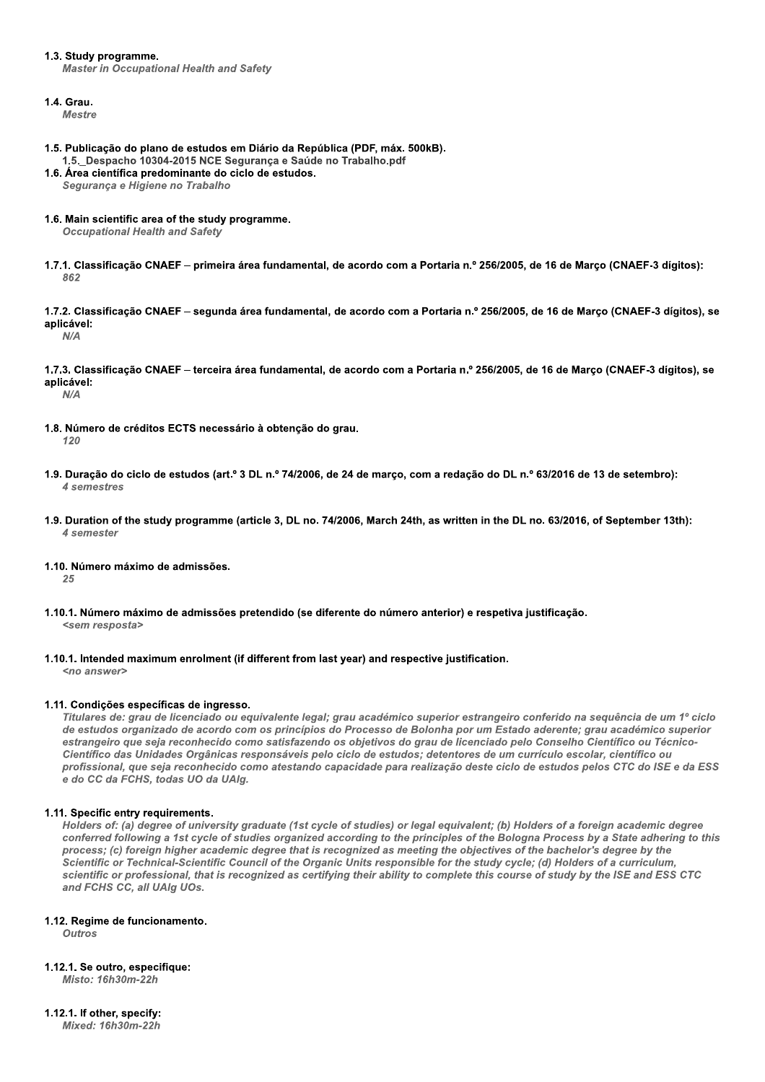#### 1.3. Study programme.

**Master in Occupational Health and Safety** 

#### 1.4. Grau.

**Mestre** 

- 1.5. Publicação do plano de estudos em Diário da República (PDF, máx. 500kB). 1.5. Despacho 10304-2015 NCE Segurança e Saúde no Trabalho.pdf
- 1.6. Área científica predominante do ciclo de estudos. Segurança e Higiene no Trabalho
- 1.6. Main scientific area of the study programme.

**Occupational Health and Safety** 

1.7.1. Classificação CNAEF – primeira área fundamental, de acordo com a Portaria n.º 256/2005, de 16 de Março (CNAEF-3 dígitos): 862

1.7.2. Classificação CNAEF – segunda área fundamental, de acordo com a Portaria n.º 256/2005, de 16 de Março (CNAEF-3 dígitos), se aplicável:

 $N/\Delta$ 

1.7.3. Classificação CNAEF - terceira área fundamental, de acordo com a Portaria n.º 256/2005, de 16 de Março (CNAEF-3 dígitos), se aplicável:  $N/\Delta$ 

- 1.8. Número de créditos ECTS necessário à obtenção do grau.  $120$
- 1.9. Duração do ciclo de estudos (art.º 3 DL n.º 74/2006, de 24 de março, com a redação do DL n.º 63/2016 de 13 de setembro): 4 semestres
- 1.9. Duration of the study programme (article 3, DL no. 74/2006, March 24th, as written in the DL no. 63/2016, of September 13th): 4 semester
- 1.10. Número máximo de admissões.

25

- 1.10.1. Número máximo de admissões pretendido (se diferente do número anterior) e respetiva justificação. <sem resposta>
- 1.10.1. Intended maximum enrolment (if different from last year) and respective justification.

<no answer>

#### 1.11. Condições específicas de ingresso.

Titulares de: grau de licenciado ou equivalente legal; grau académico superior estrangeiro conferido na sequência de um 1º ciclo de estudos organizado de acordo com os princípios do Processo de Bolonha por um Estado aderente: grau académico superior estrangeiro que seja reconhecido como satisfazendo os objetivos do grau de licenciado pelo Conselho Científico ou Técnico-Científico das Unidades Orgânicas responsáveis pelo ciclo de estudos: detentores de um currículo escolar, científico ou profissional, que seja reconhecido como atestando capacidade para realização deste ciclo de estudos pelos CTC do ISE e da ESS e do CC da FCHS, todas UO da UAIg.

## 1.11. Specific entry requirements.

Holders of: (a) degree of university graduate (1st cycle of studies) or legal equivalent; (b) Holders of a foreign academic degree conferred following a 1st cycle of studies organized according to the principles of the Bologna Process by a State adhering to this process; (c) foreign higher academic degree that is recognized as meeting the objectives of the bachelor's degree by the Scientific or Technical-Scientific Council of the Organic Units responsible for the study cycle; (d) Holders of a curriculum, scientific or professional, that is recognized as certifying their ability to complete this course of study by the ISE and ESS CTC and FCHS CC, all UAIg UOs.

#### 1.12. Regime de funcionamento.

**Outros** 

# 1.12.1. Se outro, especifique:

Misto: 16h30m-22h

# 1.12.1. If other, specify:

**Mixed: 16h30m-22h**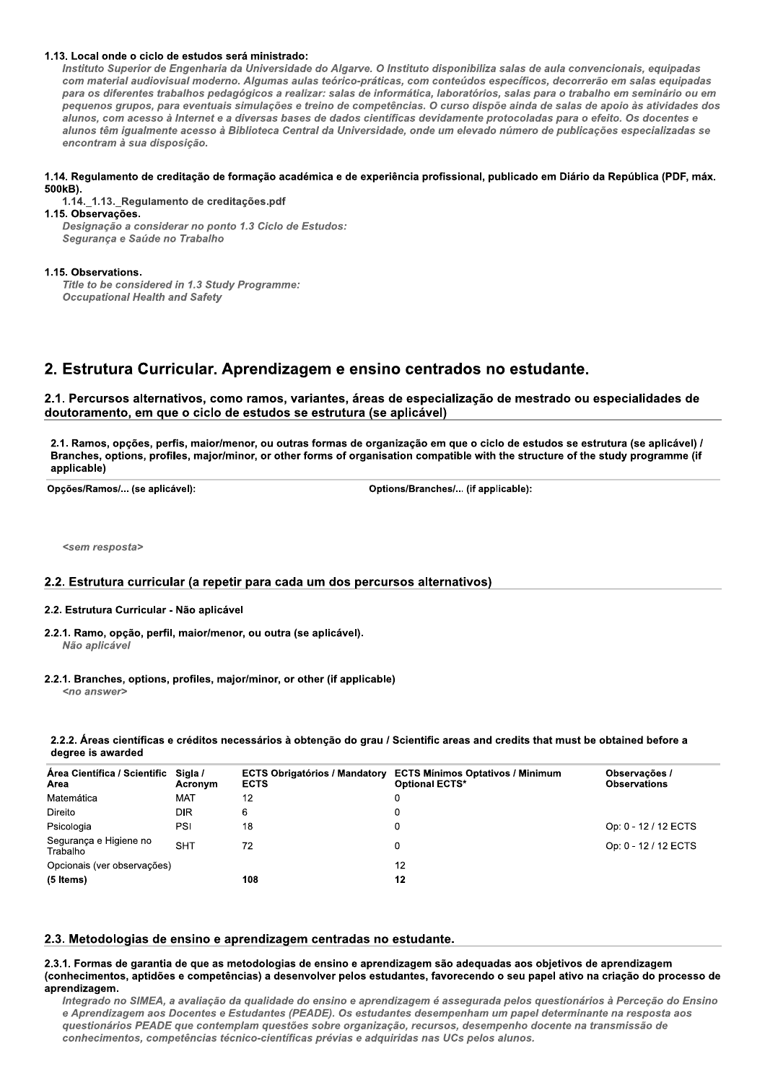#### 1.13. Local onde o ciclo de estudos será ministrado:

Instituto Superior de Engenharia da Universidade do Algarve. O Instituto disponibiliza salas de aula convencionais, equipadas com material audiovisual moderno. Algumas aulas teórico-práticas, com conteúdos específicos, decorrerão em salas equipadas para os diferentes trabalhos pedagógicos a realizar: salas de informática, laboratórios, salas para o trabalho em seminário ou em pequenos grupos, para eventuais simulações e treino de competências. O curso dispõe ainda de salas de apoio às atividades dos alunos, com acesso à Internet e a diversas bases de dados científicas devidamente protocoladas para o efeito. Os docentes e alunos têm igualmente acesso à Biblioteca Central da Universidade, onde um elevado número de publicações especializadas se encontram à sua disposição.

#### 1.14. Regulamento de creditação de formação académica e de experiência profissional, publicado em Diário da República (PDF, máx. 500kB).

1.14.\_1.13.\_Regulamento de creditações.pdf

1.15. Observações. Designação a considerar no ponto 1.3 Ciclo de Estudos: Seguranca e Saúde no Trabalho

#### 1.15. Observations.

Title to be considered in 1.3 Study Programme: **Occupational Health and Safety** 

# 2. Estrutura Curricular. Aprendizagem e ensino centrados no estudante.

2.1. Percursos alternativos, como ramos, variantes, áreas de especialização de mestrado ou especialidades de doutoramento, em que o ciclo de estudos se estrutura (se aplicável)

2.1. Ramos, opções, perfis, maior/menor, ou outras formas de organização em que o ciclo de estudos se estrutura (se aplicável) / Branches, options, profiles, major/minor, or other forms of organisation compatible with the structure of the study programme (if applicable)

Opções/Ramos/... (se aplicável):

Options/Branches/... (if applicable):

<sem resposta>

## 2.2. Estrutura curricular (a repetir para cada um dos percursos alternativos)

#### 2.2. Estrutura Curricular - Não aplicável

- 2.2.1. Ramo, opção, perfil, maior/menor, ou outra (se aplicável). Não aplicável
- 2.2.1. Branches, options, profiles, major/minor, or other (if applicable)

<no answer>

#### 2.2.2. Áreas científicas e créditos necessários à obtenção do grau / Scientific areas and credits that must be obtained before a degree is awarded

| Área Científica / Scientific Sigla /<br>Area | Acronym    | <b>ECTS Obrigatórios / Mandatory</b><br><b>ECTS</b> | <b>ECTS Mínimos Optativos / Minimum</b><br><b>Optional ECTS*</b> | Observações /<br><b>Observations</b> |
|----------------------------------------------|------------|-----------------------------------------------------|------------------------------------------------------------------|--------------------------------------|
| Matemática                                   | <b>MAT</b> | 12                                                  | 0                                                                |                                      |
| Direito                                      | <b>DIR</b> | 6                                                   |                                                                  |                                      |
| Psicologia                                   | PSI        | 18                                                  |                                                                  | Op: 0 - 12 / 12 ECTS                 |
| Segurança e Higiene no<br>Trabalho           | <b>SHT</b> | 72                                                  |                                                                  | Op: 0 - 12 / 12 ECTS                 |
| Opcionais (ver observações)                  |            |                                                     | 12                                                               |                                      |
| (5 Items)                                    |            | 108                                                 | 12                                                               |                                      |

#### 2.3. Metodologias de ensino e aprendizagem centradas no estudante.

2.3.1. Formas de garantia de que as metodologias de ensino e aprendizagem são adequadas aos objetivos de aprendizagem (conhecimentos, aptidões e competências) a desenvolver pelos estudantes, favorecendo o seu papel ativo na criação do processo de aprendizagem.

Integrado no SIMEA, a avaliação da qualidade do ensino e aprendizagem é assegurada pelos questionários à Perceção do Ensino e Aprendizagem aos Docentes e Estudantes (PEADE). Os estudantes desempenham um papel determinante na resposta aos questionários PEADE que contemplam questões sobre organização, recursos, desempenho docente na transmissão de conhecimentos, competências técnico-científicas prévias e adquiridas nas UCs pelos alunos.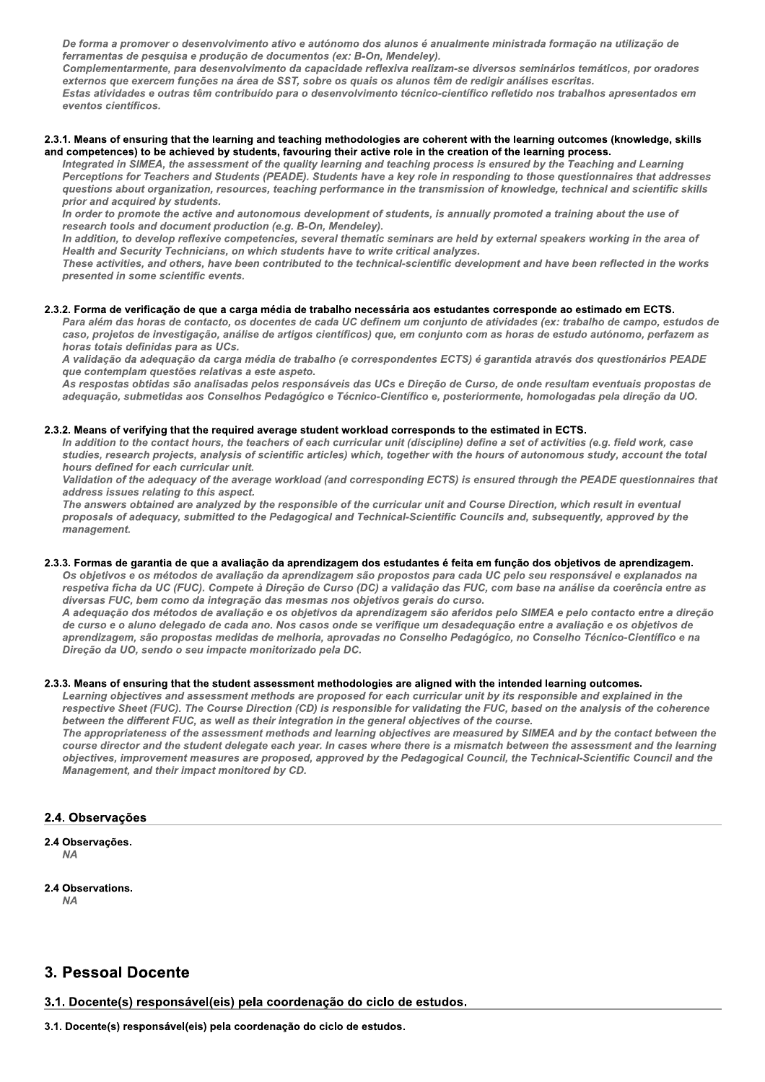De forma a promover o desenvolvimento ativo e autonomo dos alunos e anualmente ministrada formação na utilização de rerramentas de pesquisa e produção de documentos (ex: B-On, Mendeley).

Complementarmente, para desenvolvimento da capacidade reflexiva realizam-se diversos seminarios tematicos, por oradores  $ext{errors}$  que exercem funções na area de SST, sobre os quais os alunos tem de redigir analises escritas.

Estas atividades e outras tem contribuído para o desenvolvimento tecnico-científico refletido nos trabalhos apresentados em eventos científicos.

#### 2.3.1. Means of ensuring that the learning and teaching methodologies are coherent with the learning outcomes (knowledge, skills and competences) to be achieved by students, favouring their active role in the creation of the learning process.

desenvolvimento ativo e autónomo dos aluminates<br>
a e produção de documentos (ex: B-On, Mina desenvolvimento da capacidade reflexi<br>
arções na área de SST, sobre os quais os<br>
s têm contribuído para o desenvolvimento<br>
at the integrated in Silvich, the assessment of the quality learning and teaching process is ensured by the Teaching and Learning ise diversos seminários temáticos, por orad<br>le redigir análises escritas.<br>tífico refletido nos trabalhos apresentado:<br>tífico refletido nos trabalhos apresentado:<br>antifico refletido nos trabalhos apresentado;<br>to the learnin Perceptions for Teachers and Students (PEADE). Students have a key role in responding to those questionnaires that addresses externos que exercem funções na áre<br>
Estas atividades e outras têm contrib<br>
eventos científicos.<br>
2.3.1. Means of ensuring that the learning<br>
and competences) to be achieved by stu<br>
Integrated in SIMEA, the assessment<br>
Per questions about organization, resources, teaching performance in the transmission of knowledge, technical and scientific skills prior and acquired by students. d competences) to be achieved by student<br>
Integrated in SIMEA, the assessment of the<br>
Perceptions for Teachers and Students (F<br>
questions about organization, resources,<br>
prior and acquired by students.<br>
In order to promote Integrated in SIMEA, the assessment of the quality learning and teaching process is<br>Perceptions for Teachers and Students (PEADE). Students have a key role in respon<br>questions about organization, resources, teaching perfor

in order to promote the active and autonomous development of students, is annually promoted a training about the use of  $\,$ research tools and document production (e.g. B-On, Mendeley).

in addition, to develop reflexive competencies, several thematic seminars are held by external speakers working in the area of Health and Security Technicians, on which students have to write critical al

activities, and others, nave been contributed to the technical-scientific development and have been reflected in the works  $\,$ presented in some scientific events.

#### 2.3.2. Forma de verificação de que a carga média de trabalho necessária aos estudantes corresponde ao estimado em ECTS.

Para alem das noras de contacto, os docentes de cada UC definem um conjunto de atividades (ex: trabalho de campo, estudos de caso, projetos de investigação, analise de artigos científicos) que, em conjunto com as noras de estudo autonomo, perrazem as noras totais definidas para as UCs. e technical-scientific development and have<br>
a necessária aos estudantes corresponde<br>
C definem um conjunto de atividades (ex:<br>
cicos) que, em conjunto com as horas de es<br>
correspondentes ECTS) é garantida atrav<br>
das UCs e

A valldação da adequação da carga media de trabalho (e correspondentes ECTS) e garantida atraves dos questionarios PEADE que contemplam questoes relativas a este aspeto.

As respostas obtidas são análisadas pelos responsaveis das UCs e Direção de Curso, de onde resultam eventuais propostas de adequação, submetidas aos Conseinos Pedagogico e Tecnico-Clentífico e, posteriormente, nomologadas pela direção da UO.

#### 2.3.2. Means of verifying that the required average student workload corresponds to the estimated in ECTS.

carga média de trabalho necessária aos es<br>
, os docentes de cada UC definem um con<sub>l</sub><br>
nálise de artigos científicos) que, em conjus.<br>
S.<br>
S.<br>
s.<br>
as a este aspeto.<br>
das pelos responsáveis das UCs e Direção<br>
selhos Pedagóg in addition to the contact nours, the teachers of each curricular unit (discipline) define a set of activities (e.g. field work, case  $\,$ studies, research projects, analysis of scientific articles) which, together with the hours of autohomous study, account the total nours defined for each curricular unit. eis das UCs e Direção de Curso, de onde r<br>Técnico-Científico e, posteriormente, hom<br>t workload corresponds to the estimated in<br>turricular unit (discipline) define a set of a<br>s) which, together with the hours of autom<br>nd co 2.3.2. Means of verifying that the required a<br>
in addition to the contact hours, the tead<br>
studies, research projects, analysis of s<br>
hours defined for each curricular unit.<br>
Validation of the adequacy of the average<br>
add d average student workload corresponds to<br>eachers of each curricular unit (discipline)<br>for scientific articles) which, together with th<br>mage workload (and corresponding ECTS) is<br>t.<br>y the responsible of the curricular unit

validation of the adequacy of the average workload (and corresponding ECTS) is ensured through the PEADE questionnaires that  $\,$ address issues relating to this a

answers obtained are analyzed by the responsible of the curricular unit and Course Direction, which result in eventual  $\,$ proposals or adequacy, submitted to the Pedagogical and Technical-Scientific Councils and, subsequently, approved by the management.

#### 2.3.3. Formas de garantia de que a avaliação da aprendizagem dos estudantes é feita em função dos objetivos de aprendizagem.

Us objetivos e os metodos de avallação da aprendizagem são propostos para cada UC pelo seu responsavel e explanados na respetiva ficha da UC (FUC). Compete a Direção de Curso (DC) a validação das FUC, com base ha analise da coerencia entre as diversas FUC, bem como da integração das mesmas nos objetivos gerais do curso.

A adequação dos metodos de avallação e os objetivos da aprendizagem são aferidos pelo SIMEA e pelo contacto entre a direção de curso e o aluno delegado de cada ano. Nos casos onde se verifique um desadequação entre a avallação e os objetivos de aprendizagem, sao propostas medidas de meinoria, aprovadas no Conseino Pedagogico, no Conseino Tecnico-Científico e na em função dos objetivos de aprendizagem<br>a UC pelo seu responsável e explanados n<br>C, com base na análise da coerência entre<br>a.<br>dos pelo SIMEA e pelo contacto entre a dir<br>quação entre a avaliação e os objetivos de<br>gógico, no pireção da UO, sendo o seu impacte monitorizado pela DC. dequação dos métodos de avaliação e os<br>curso e o aluno delegado de cada ano. No<br>cendizagem, são propostas medidas de me<br>eção da UO, sendo o seu impacte monitor<br>**Means of ensuring that the student assessi**<br>arming objectives

### 2.3.3. Means of ensuring that the student assessment methodologies are aligned with the intended learning outcomes.

Learning objectives and assessment methods are proposed for each curricular unit by its responsible and explained in the respective Sneet (FUC). The Course Direction (CD) is responsible for validating the FUC, based on the analysis of the conerence between the different FUC, as well as their integration in the general objectives of the  $\boldsymbol{c}$ 

aprendizagem, são propostas medidas de melhoria, aprovadas no Conselho Pedagógico, no C<br>Direção da UO, sendo o seu impacte monitorizado pela DC.<br>
2.3.3. Means of ensuring that the student assessment methodologies are align appropriateness of the assessment methods and learning objectives are measured by SIMEA and by the contact between the  $\,$ course director and the student delegate each year. In cases where there is a mismatch between the assessment and the learning objectives, improvement measures are proposed, approved by the Pedagogical Council, the Technical-Scientific Council and the igned with the intended learning outcomes<br>prricular unit by its responsible and explaine<br>lidating the FUC, based on the analysis of t<br>ectives of the course.<br>Sa are measured by SIMEA and by the contained is a mismatch betwe wanagement, and their impact monitored by CD.

### 2.4. Observações

# 2.4 Observações.

 $NA$ 

# 2.4 Observations.<br> $NA$

en *NA* 

# 3. Pessoal Docente

3.1. Docente(s) responsável(eis) pela coordenação do ciclo de estudos.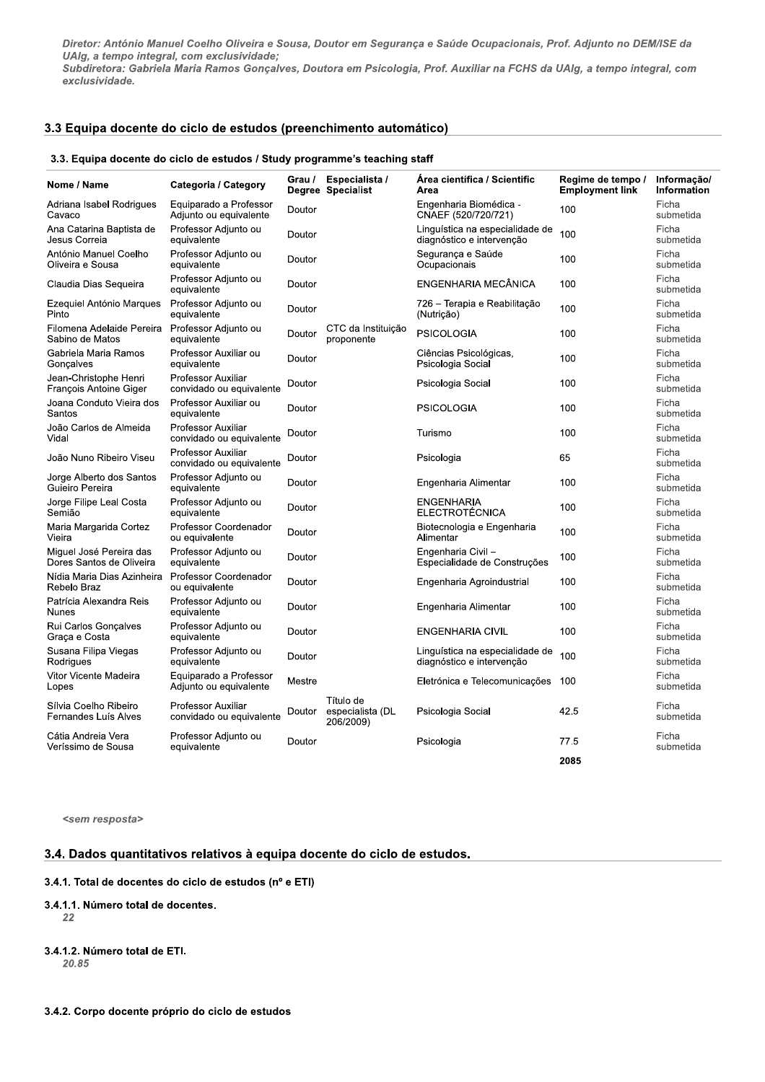Diretor: António Manuel Coelho Oliveira e Sousa, Doutor em Segurança e Saúde Ocupacionais, Prof. Adjunto no DEM/ISE da UAlg, a tempo integral, com exclusividade;

Subdiretora: Gabriela Maria Ramos Gonçalves, Doutora em Psicologia, Prof. Auxiliar na FCHS da UAIg, a tempo integral, com exclusividade.

# 3.3 Equipa docente do ciclo de estudos (preenchimento automático)

#### 3.3. Equipa docente do ciclo de estudos / Study programme's teaching staff

| Nome / Name                                         | Categoria / Category                                  | Grau / | Especialista /<br>Degree Specialist        | Area científica / Scientific<br>Area                         | Regime de tempo /<br><b>Employment link</b> | Informação/<br><b>Information</b> |
|-----------------------------------------------------|-------------------------------------------------------|--------|--------------------------------------------|--------------------------------------------------------------|---------------------------------------------|-----------------------------------|
| Adriana Isabel Rodrigues<br>Cavaco                  | Equiparado a Professor<br>Adjunto ou equivalente      | Doutor |                                            | Engenharia Biomédica -<br>CNAEF (520/720/721)                | 100                                         | Ficha<br>submetida                |
| Ana Catarina Baptista de<br>Jesus Correia           | Professor Adjunto ou<br>equivalente                   | Doutor |                                            | Linguística na especialidade de<br>diagnóstico e intervenção | 100                                         | Ficha<br>submetida                |
| António Manuel Coelho<br>Oliveira e Sousa           | Professor Adjunto ou<br>equivalente                   | Doutor |                                            | Segurança e Saúde<br>Ocupacionais                            | 100                                         | Ficha<br>submetida                |
| Claudia Dias Sequeira                               | Professor Adjunto ou<br>equivalente                   | Doutor |                                            | ENGENHARIA MECÂNICA                                          | 100                                         | Ficha<br>submetida                |
| Ezequiel António Marques<br>Pinto                   | Professor Adjunto ou<br>equivalente                   | Doutor |                                            | 726 - Terapia e Reabilitação<br>(Nutricão)                   | 100                                         | Ficha<br>submetida                |
| Filomena Adelaide Pereira<br>Sabino de Matos        | Professor Adjunto ou<br>equivalente                   | Doutor | CTC da Instituição<br>proponente           | <b>PSICOLOGIA</b>                                            | 100                                         | Ficha<br>submetida                |
| Gabriela Maria Ramos<br>Goncalves                   | Professor Auxiliar ou<br>equivalente                  | Doutor |                                            | Ciências Psicológicas,<br>Psicologia Social                  | 100                                         | Ficha<br>submetida                |
| Jean-Christophe Henri<br>François Antoine Giger     | <b>Professor Auxiliar</b><br>convidado ou equivalente | Doutor |                                            | Psicologia Social                                            | 100                                         | Ficha<br>submetida                |
| Joana Conduto Vieira dos<br>Santos                  | Professor Auxiliar ou<br>equivalente                  | Doutor |                                            | <b>PSICOLOGIA</b>                                            | 100                                         | Ficha<br>submetida                |
| João Carlos de Almeida<br>Vidal                     | <b>Professor Auxiliar</b><br>convidado ou equivalente | Doutor |                                            | Turismo                                                      | 100                                         | Ficha<br>submetida                |
| João Nuno Ribeiro Viseu                             | Professor Auxiliar<br>convidado ou equivalente        | Doutor |                                            | Psicologia                                                   | 65                                          | Ficha<br>submetida                |
| Jorge Alberto dos Santos<br>Guieiro Pereira         | Professor Adjunto ou<br>equivalente                   | Doutor |                                            | Engenharia Alimentar                                         | 100                                         | Ficha<br>submetida                |
| Jorge Filipe Leal Costa<br>Semião                   | Professor Adjunto ou<br>equivalente                   | Doutor |                                            | ENGENHARIA<br><b>ELECTROTÉCNICA</b>                          | 100                                         | Ficha<br>submetida                |
| Maria Margarida Cortez<br>Vieira                    | Professor Coordenador<br>ou equivalente               | Doutor |                                            | Biotecnologia e Engenharia<br>Alimentar                      | 100                                         | Ficha<br>submetida                |
| Miguel José Pereira das<br>Dores Santos de Oliveira | Professor Adjunto ou<br>equivalente                   | Doutor |                                            | Engenharia Civil-<br>Especialidade de Construções            | 100                                         | Ficha<br>submetida                |
| Nídia Maria Dias Azinheira<br>Rebelo Braz           | Professor Coordenador<br>ou equivalente               | Doutor |                                            | Engenharia Agroindustrial                                    | 100                                         | Ficha<br>submetida                |
| Patrícia Alexandra Reis<br><b>Nunes</b>             | Professor Adjunto ou<br>equivalente                   | Doutor |                                            | Engenharia Alimentar                                         | 100                                         | Ficha<br>submetida                |
| Rui Carlos Gonçalves<br>Graça e Costa               | Professor Adjunto ou<br>equivalente                   | Doutor |                                            | <b>ENGENHARIA CIVIL</b>                                      | 100                                         | Ficha<br>submetida                |
| Susana Filipa Viegas<br>Rodrigues                   | Professor Adjunto ou<br>equivalente                   | Doutor |                                            | Linguística na especialidade de<br>diagnóstico e intervenção | 100                                         | Ficha<br>submetida                |
| Vitor Vicente Madeira<br>Lopes                      | Equiparado a Professor<br>Adjunto ou equivalente      | Mestre |                                            | Eletrónica e Telecomunicações                                | 100                                         | Ficha<br>submetida                |
| Sílvia Coelho Ribeiro<br>Fernandes Luís Alves       | <b>Professor Auxiliar</b><br>convidado ou equivalente | Doutor | Título de<br>especialista (DL<br>206/2009) | Psicologia Social                                            | 42.5                                        | Ficha<br>submetida                |
| Cátia Andreia Vera<br>Veríssimo de Sousa            | Professor Adjunto ou<br>equivalente                   | Doutor |                                            | Psicologia                                                   | 77.5                                        | Ficha<br>submetida                |
|                                                     |                                                       |        |                                            |                                                              | 2085                                        |                                   |

<sem resposta>

# 3.4. Dados quantitativos relativos à equipa docente do ciclo de estudos.

## 3.4.1. Total de docentes do ciclo de estudos (nº e ETI)

```
3.4.1.1. Número total de docentes.
   22
```

```
3.4.1.2. Número total de ETI.
   20.85
```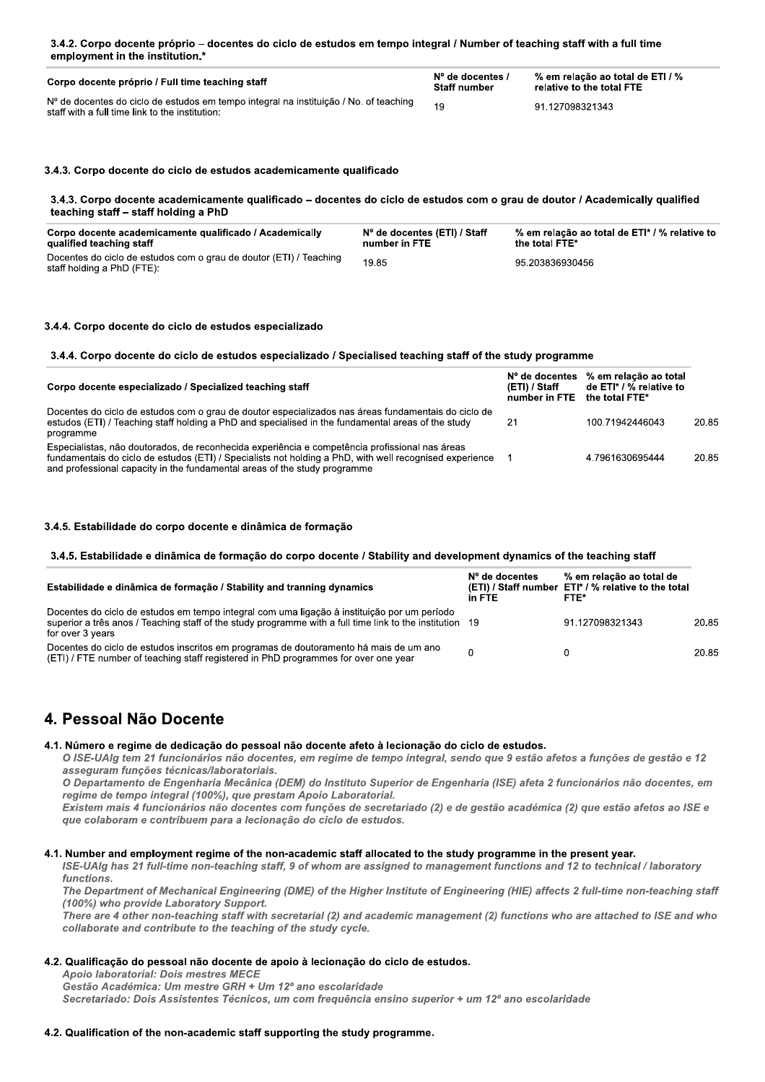| Corpo docente próprio / Full time teaching staff                                                                                           | $No$ de docentes /<br><b>Staff number</b> | % em relação ao total de ETI / %<br>relative to the total FTE |
|--------------------------------------------------------------------------------------------------------------------------------------------|-------------------------------------------|---------------------------------------------------------------|
| $No$ de docentes do ciclo de estudos em tempo integral na instituição / No. of teaching<br>staff with a full time link to the institution. | 19                                        | 91.127098321343                                               |

# .3. Corpo docente do cíclo de estudos academicamente qualificado

| 3.4.3. Corpo docente academicamente qualificado – docentes do ciclo de estudos com o grau de doutor / Academically qualified<br>teaching staff – staff holding a PhD |                                               |                                                                 |
|----------------------------------------------------------------------------------------------------------------------------------------------------------------------|-----------------------------------------------|-----------------------------------------------------------------|
| Corpo docente academicamente qualificado / Academically<br>qualified teaching staff                                                                                  | Nº de docentes (ETI) / Staff<br>number in FTE | % em relação ao total de ETI* / % relative to<br>the total FTE* |
| Docentes do ciclo de estudos com o grau de doutor (ETI) / Teaching<br>staff holding a PhD (FTE):                                                                     | 19.85                                         | 95.203836930456                                                 |

# .4. Corpo docente do cíclo de estudos especia

# lalizado<br>cializado / Specialised teaching staff of the study programme

| 3.4.4. Corpo docente do ciclo de estudos especializado / Specialised teaching staff of the study programme                                                                                                                                                                             |                                                  |                                                                    |       |
|----------------------------------------------------------------------------------------------------------------------------------------------------------------------------------------------------------------------------------------------------------------------------------------|--------------------------------------------------|--------------------------------------------------------------------|-------|
| Corpo docente especializado / Specialized teaching staff                                                                                                                                                                                                                               | N° de docentes<br>(ETI) / Staff<br>number in FTE | % em relação ao total<br>de ETI* / % relative to<br>the total FTE* |       |
| Docentes do ciclo de estudos com o grau de doutor especializados nas áreas fundamentais do ciclo de<br>estudos (ETI) / Teaching staff holding a PhD and specialised in the fundamental areas of the study<br>programme                                                                 | 21                                               | 100.71942446043                                                    | 20.85 |
| Especialistas, não doutorados, de reconhecida experiência e competência profissional nas áreas<br>fundamentais do ciclo de estudos (ETI) / Specialists not holding a PhD, with well recognised experience<br>and professional capacity in the fundamental areas of the study programme | -1                                               | 4 7961630695444                                                    | 20.85 |

## 3.4.5. Estabilidade do corpo docente e dinamica de formação

#### $\bm{a}. \bm{a}. \bm{b}.$  Establildade e dinamica de formação do corpo docente / Stability and development dynamics of the teaching staff

| 3.4.5. Estabilidade e dinâmica de formação do corpo docente / Stability and development dynamics of the teaching staff                                                                                                   |                            |                                                                                         |       |
|--------------------------------------------------------------------------------------------------------------------------------------------------------------------------------------------------------------------------|----------------------------|-----------------------------------------------------------------------------------------|-------|
| Estabilidade e dinâmica de formação / Stability and tranning dynamics                                                                                                                                                    | $No$ de docentes<br>in FTE | % em relação ao total de<br>(ETI) / Staff number ETI* / % relative to the total<br>FTE* |       |
| Docentes do ciclo de estudos em tempo integral com uma ligação à instituição por um período<br>superior a três anos / Teaching staff of the study programme with a full time link to the institution<br>for over 3 years | -19                        | 91.127098321343                                                                         | 20.85 |
| Docentes do ciclo de estudos inscritos em programas de doutoramento há mais de um ano<br>(ETI) / FTE number of teaching staff registered in PhD programmes for over one year                                             | 0                          | 0                                                                                       | 20.85 |

# 4. Pessoal Nao Docente

## 4.1. Numero e regime de dedicação do pessoal não docente afeto a lecionação do cíclo de estudos.

O ISE-UAIg tem 21 funcionários não docentes, em regime de tempo integral, sendo que 9 estão afetos a funções de gestão e 12 asseguram funções técnicas/laboratoriais.

O Departamento de Engenharia Mecânica (DEM) do Instituto Superior de Engenharia (ISE) afeta 2 funcionários não docentes, em regime de tempo integral (100%), que prestam Apoio Laboratorial.

Existem mais 4 funcionários não docentes com funções de secretariado (2) e de gestão académica (2) que estão afetos ao ISE e que colaboram e contribuem para a lecionação do ciclo de estudos.

# 4.1. Number and employment regime of the non-academic staff allocated to the study programme in the present year.

ISE-UAIg has 21 full-time non-teaching staff, 9 of whom are assigned to management functions and 12 to technical / laboratory functions.

The Department of Mechanical Engineering (DME) of the Higher Institute of Engineering (HIE) affects 2 full-time non-teaching staff (100%) who provide Laboratory Support.

There are 4 other non-teaching staff with secretarial (2) and academic management (2) functions who are attached to ISE and who collaborate and contribute to the teaching of the study cycle.

# 4.2. Qualificação do pessoal não docente de apolo a leclonação do cíclo de estudos.

Apoio laboratorial: Dois mestres MECE

Gestão Académica: Um mestre GRH + Um 12º ano escolaridade

Secretariado: Dois Assistentes Técnicos, um com frequência ensino superior + um 12º ano escolaridade

# 4.2. Qualification of the non-academic staff supporting the study programme.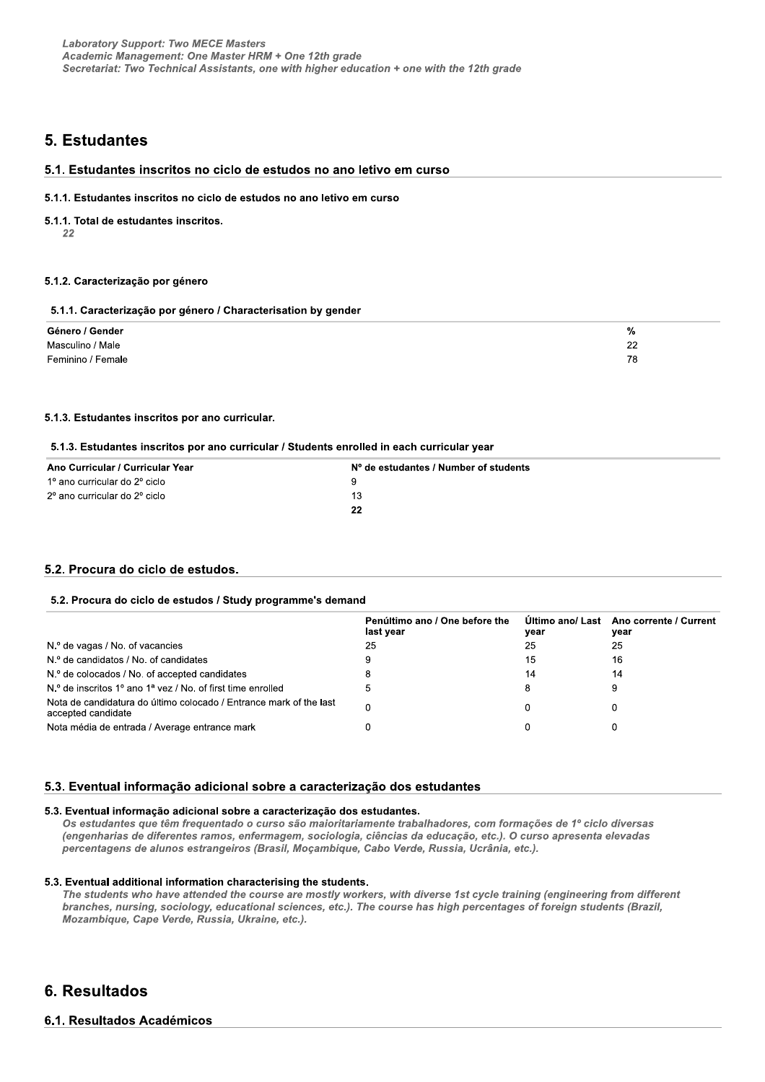# 5. Estudantes

# 5.1. Estudantes inscritos no ciclo de estudos no ano letivo em curso

#### 5.1.1. Estudantes inscritos no ciclo de estudos no ano letivo em curso

#### 5.1.1. Total de estudantes inscritos.

22

# 5.1.2. Caracterização por género

#### 5.1.1. Caracterização por género / Characterisation by gender

| Género / Gender   | %        |
|-------------------|----------|
| Masculino / Male  | ົດ<br>__ |
| Feminino / Female | 78       |

### 5.1.3. Estudantes inscritos por ano curricular.

#### 5.1.3. Estudantes inscritos por ano curricular / Students enrolled in each curricular year

| Ano Curricular / Curricular Year | N° de estudantes / Number of students |
|----------------------------------|---------------------------------------|
| 1º ano curricular do 2º ciclo    | q                                     |
| 2º ano curricular do 2º ciclo    | 13                                    |
|                                  | 22                                    |

### 5.2. Procura do ciclo de estudos.

#### 5.2. Procura do ciclo de estudos / Study programme's demand

|                                                                                          | Penúltimo ano / One before the<br>last year | year | Último ano/ Last Ano corrente / Current<br>vear |
|------------------------------------------------------------------------------------------|---------------------------------------------|------|-------------------------------------------------|
| $No$ de vagas / No. of vacancies                                                         | 25                                          | 25   | 25                                              |
| N.º de candidatos / No. of candidates                                                    | 9                                           | 15   | 16                                              |
| N.º de colocados / No. of accepted candidates                                            | 8                                           | 14   | 14                                              |
| $No$ de inscritos 1 <sup>o</sup> ano 1 <sup>a</sup> yez / No. of first time enrolled     | 5                                           |      |                                                 |
| Nota de candidatura do último colocado / Entrance mark of the last<br>accepted candidate | 0                                           |      |                                                 |
| Nota média de entrada / Average entrance mark                                            |                                             |      |                                                 |

# 5.3. Eventual informação adicional sobre a caracterização dos estudantes

#### 5.3. Eventual informação adicional sobre a caracterização dos estudantes.

Os estudantes que têm frequentado o curso são maioritariamente trabalhadores, com formações de 1º ciclo diversas (engenharias de diferentes ramos, enfermagem, sociologia, ciências da educação, etc.). O curso apresenta elevadas percentagens de alunos estrangeiros (Brasil, Moçambique, Cabo Verde, Russia, Ucrânia, etc.).

#### 5.3. Eventual additional information characterising the students.

The students who have attended the course are mostly workers, with diverse 1st cycle training (engineering from different branches, nursing, sociology, educational sciences, etc.). The course has high percentages of foreign students (Brazil, Mozambique, Cape Verde, Russia, Ukraine, etc.).

# 6. Resultados

# 6.1. Resultados Académicos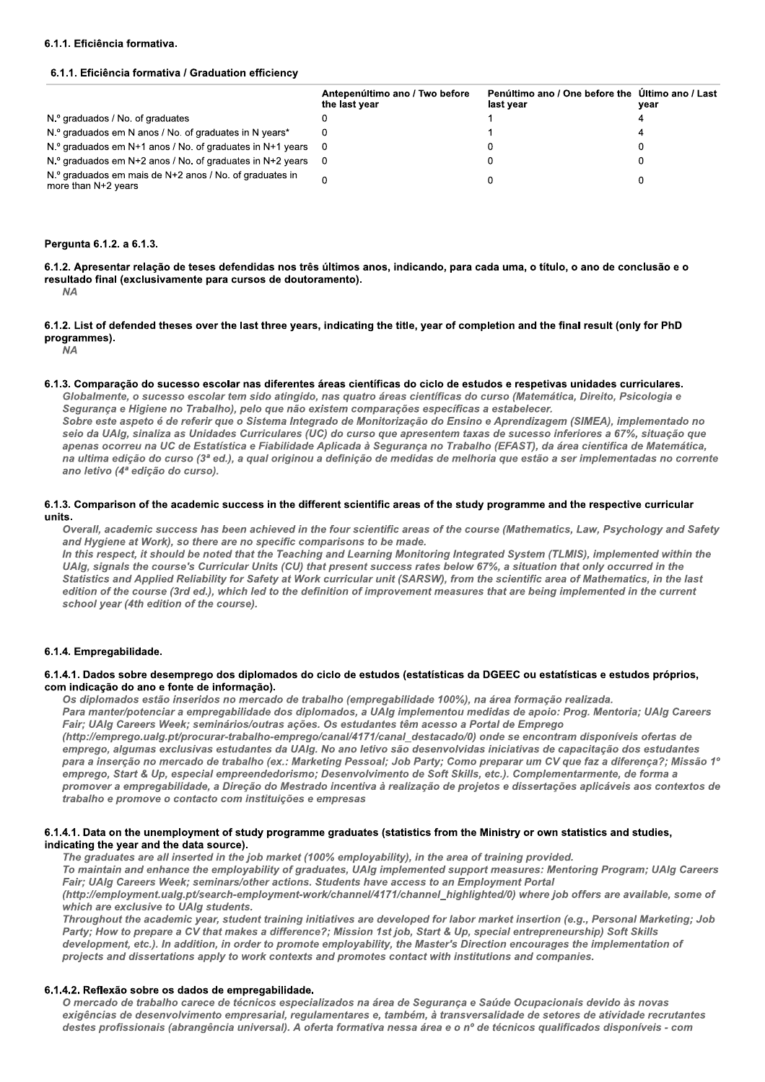#### 6.1.1. Eficiência formativa.

#### 6.1.1. Eficiência formativa / Graduation efficiency

|                                                                                  | Antepenúltimo ano / Two before<br>the last year | Penúltimo ano / One before the Ultimo ano / Last<br>last vear | year |
|----------------------------------------------------------------------------------|-------------------------------------------------|---------------------------------------------------------------|------|
| N.º graduados / No. of graduates                                                 |                                                 |                                                               |      |
| N.º graduados em N anos / No. of graduates in N years*                           |                                                 |                                                               |      |
| $N^{\circ}$ graduados em N+1 anos / No. of graduates in N+1 years 0              |                                                 |                                                               |      |
| $No$ graduados em N+2 anos / No. of graduates in N+2 years $0$                   |                                                 |                                                               |      |
| N.º graduados em mais de N+2 anos / No. of graduates in<br>more than $N+2$ years |                                                 |                                                               |      |

#### Pergunta 6.1.2. a 6.1.3.

6.1.2. Apresentar relação de teses defendidas nos três últimos anos, indicando, para cada uma, o título, o ano de conclusão e o resultado final (exclusivamente para cursos de doutoramento).

 $NA$ 

6.1.2. List of defended theses over the last three years, indicating the title, year of completion and the final result (only for PhD programmes).

**NA** 

6.1.3. Comparação do sucesso escolar nas diferentes áreas científicas do ciclo de estudos e respetivas unidades curriculares.

Globalmente, o sucesso escolar tem sido atingido, nas quatro áreas científicas do curso (Matemática, Direito, Psicologia e Segurança e Higiene no Trabalho), pelo que não existem comparações específicas a estabelecer. Sobre este aspeto é de referir que o Sistema Integrado de Monitorização do Ensino e Aprendizagem (SIMEA), implementado no

sejo da UAIg, sinaliza as Unidades Curriculares (UC) do curso que apresentem taxas de sucesso inferiores a 67%, situação que apenas ocorreu na UC de Estatística e Fiabilidade Aplicada à Segurança no Trabalho (EFAST), da área cientifica de Matemática, na ultima edição do curso (3ª ed.), a qual originou a definição de medidas de melhoria que estão a ser implementadas no corrente ano letivo (4ª edição do curso).

#### 6.1.3. Comparison of the academic success in the different scientific areas of the study programme and the respective curricular **units**

Overall, academic success has been achieved in the four scientific areas of the course (Mathematics, Law, Psychology and Safety and Hygiene at Work), so there are no specific comparisons to be made.

In this respect, it should be noted that the Teaching and Learning Monitoring Integrated System (TLMIS), implemented within the UAlg, signals the course's Curricular Units (CU) that present success rates below 67%, a situation that only occurred in the Statistics and Applied Reliability for Safety at Work curricular unit (SARSW), from the scientific area of Mathematics, in the last edition of the course (3rd ed.), which led to the definition of improvement measures that are being implemented in the current school year (4th edition of the course).

### 6.1.4. Empregabilidade.

6.1.4.1. Dados sobre desemprego dos diplomados do ciclo de estudos (estatísticas da DGEEC ou estatísticas e estudos próprios, com indicação do ano e fonte de informação).

Os diplomados estão inseridos no mercado de trabalho (empregabilidade 100%), na área formação realizada. Para manter/potenciar a empregabilidade dos diplomados, a UAIg implementou medidas de apoio: Prog. Mentoria; UAIg Careers Fair; UAIg Careers Week; seminários/outras ações. Os estudantes têm acesso a Portal de Emprego

(http://emprego.ualg.pt/procurar-trabalho-emprego/canal/4171/canal destacado/0) onde se encontram disponíveis ofertas de emprego, algumas exclusivas estudantes da UAIg. No ano letivo são desenvolvidas iniciativas de capacitação dos estudantes para a inserção no mercado de trabalho (ex.: Marketing Pessoal; Job Party; Como preparar um CV que faz a diferença?; Missão 1º emprego, Start & Up, especial empreendedorismo; Desenvolvimento de Soft Skills, etc.). Complementarmente, de forma a promover a empregabilidade, a Direção do Mestrado incentiva à realização de projetos e dissertações aplicáveis aos contextos de trabalho e promove o contacto com instituições e empresas

#### 6.1.4.1. Data on the unemployment of study programme graduates (statistics from the Ministry or own statistics and studies, indicating the year and the data source).

The graduates are all inserted in the job market (100% employability), in the area of training provided. To maintain and enhance the employability of graduates, UAIg implemented support measures: Mentoring Program; UAIg Careers Fair: UAIq Careers Week: seminars/other actions. Students have access to an Employment Portal (http://employment.ualg.pt/search-employment-work/channel/4171/channel highlighted/0) where job offers are available, some of which are exclusive to UAIg students.

Throughout the academic year, student training initiatives are developed for labor market insertion (e.g., Personal Marketing; Job Party; How to prepare a CV that makes a difference?; Mission 1st job, Start & Up, special entrepreneurship) Soft Skills development, etc.). In addition, in order to promote employability, the Master's Direction encourages the implementation of projects and dissertations apply to work contexts and promotes contact with institutions and companies.

### 6.1.4.2. Reflexão sobre os dados de empregabilidade.

O mercado de trabalho carece de técnicos especializados na área de Segurança e Saúde Ocupacionais devido às novas exigências de desenvolvimento empresarial, regulamentares e, também, à transversalidade de setores de atividade recrutantes destes profissionais (abrangência universal). A oferta formativa nessa área e o nº de técnicos qualificados disponíveis - com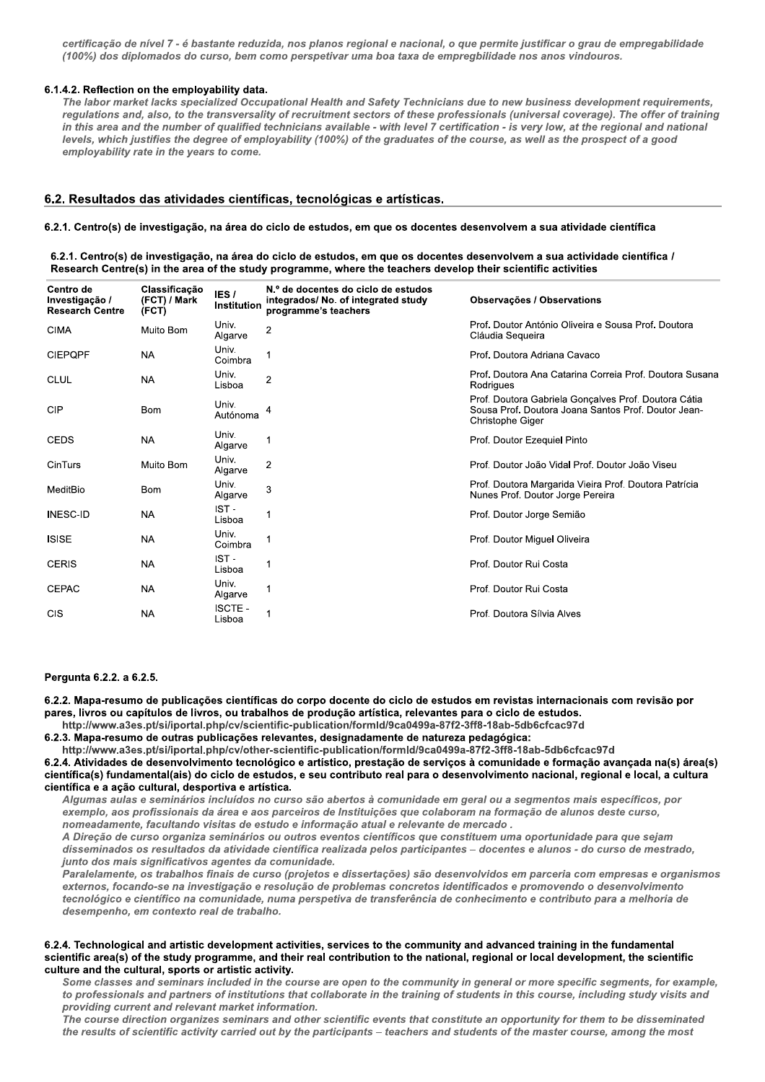certificação de nível 7 - é bastante reduzida, nos planos regional e nacional, o que permite justificar o grau de empregabilidade (100%) dos diplomados do curso, bem como perspetivar uma boa taxa de empregbilidade nos anos vindouros.

#### 6.1.4.2. Reflection on the employability data.

The labor market lacks specialized Occupational Health and Safety Technicians due to new business development requirements, regulations and, also, to the transversality of recruitment sectors of these professionals (universal coverage). The offer of training in this area and the number of qualified technicians available - with level 7 certification - is very low, at the regional and national levels, which justifies the degree of employability (100%) of the graduates of the course, as well as the prospect of a good employability rate in the years to come.

### 6.2. Resultados das atividades científicas, tecnológicas e artísticas.

#### 6.2.1. Centro(s) de investigação, na área do ciclo de estudos, em que os docentes desenvolvem a sua atividade científica

6.2.1. Centro(s) de investigação, na área do ciclo de estudos, em que os docentes desenvolvem a sua actividade científica / Research Centre(s) in the area of the study programme, where the teachers develop their scientific activities

| Centro de<br>Investigação /<br><b>Research Centre</b> | Classificação<br>(FCT) / Mark<br>(FCT) | IES <sub>/</sub><br><b>Institution</b> | N.º de docentes do ciclo de estudos<br>integrados/ No. of integrated study<br>programme's teachers | Observações / Observations                                                                                                      |
|-------------------------------------------------------|----------------------------------------|----------------------------------------|----------------------------------------------------------------------------------------------------|---------------------------------------------------------------------------------------------------------------------------------|
| <b>CIMA</b>                                           | Muito Bom                              | Univ.<br>Algarve                       | 2                                                                                                  | Prof. Doutor António Oliveira e Sousa Prof. Doutora<br>Cláudia Sequeira                                                         |
| <b>CIEPQPF</b>                                        | NA                                     | Univ.<br>Coimbra                       |                                                                                                    | Prof. Doutora Adriana Cavaco                                                                                                    |
| <b>CLUL</b>                                           | <b>NA</b>                              | Univ.<br>Lisboa                        | $\overline{2}$                                                                                     | Prof. Doutora Ana Catarina Correia Prof. Doutora Susana<br>Rodrigues                                                            |
| CIP                                                   | <b>Bom</b>                             | Univ.<br>Autónoma                      | 4                                                                                                  | Prof. Doutora Gabriela Gonçalves Prof. Doutora Cátia<br>Sousa Prof. Doutora Joana Santos Prof. Doutor Jean-<br>Christophe Giger |
| <b>CEDS</b>                                           | <b>NA</b>                              | Univ.<br>Algarve                       |                                                                                                    | Prof. Doutor Ezequiel Pinto                                                                                                     |
| CinTurs                                               | Muito Bom                              | Univ.<br>Algarve                       | $\overline{2}$                                                                                     | Prof. Doutor João Vidal Prof. Doutor João Viseu                                                                                 |
| MeditBio                                              | <b>Bom</b>                             | Univ.<br>Algarve                       | 3                                                                                                  | Prof. Doutora Margarida Vieira Prof. Doutora Patrícia<br>Nunes Prof. Doutor Jorge Pereira                                       |
| <b>INESC-ID</b>                                       | <b>NA</b>                              | IST-<br>Lisboa                         |                                                                                                    | Prof. Doutor Jorge Semião                                                                                                       |
| <b>ISISE</b>                                          | <b>NA</b>                              | Univ.<br>Coimbra                       |                                                                                                    | Prof. Doutor Miquel Oliveira                                                                                                    |
| <b>CERIS</b>                                          | <b>NA</b>                              | IST-<br>Lisboa                         |                                                                                                    | Prof. Doutor Rui Costa                                                                                                          |
| <b>CEPAC</b>                                          | <b>NA</b>                              | Univ.<br>Algarve                       |                                                                                                    | Prof. Doutor Rui Costa                                                                                                          |
| <b>CIS</b>                                            | <b>NA</b>                              | <b>ISCTE-</b><br>Lisboa                |                                                                                                    | Prof. Doutora Sílvia Alves                                                                                                      |
|                                                       |                                        |                                        |                                                                                                    |                                                                                                                                 |

#### Pergunta 6.2.2. a 6.2.5.

6.2.2. Mapa-resumo de publicações científicas do corpo docente do ciclo de estudos em revistas internacionais com revisão por pares, livros ou capítulos de livros, ou trabalhos de produção artística, relevantes para o ciclo de estudos.

http://www.a3es.pt/si/iportal.php/cv/scientific-publication/formId/9ca0499a-87f2-3ff8-18ab-5db6cfcac97d

6.2.3. Mapa-resumo de outras publicações relevantes, designadamente de natureza pedagógica:

http://www.a3es.pt/si/iportal.php/cv/other-scientific-publication/formld/9ca0499a-87f2-3ff8-18ab-5db6cfcac97d

6.2.4. Atividades de desenvolvimento tecnológico e artístico, prestação de serviços à comunidade e formação avançada na(s) área(s) científica(s) fundamental(ais) do ciclo de estudos, e seu contributo real para o desenvolvimento nacional, regional e local, a cultura científica e a ação cultural, desportiva e artística.

Algumas aulas e seminários incluídos no curso são abertos à comunidade em geral ou a segmentos mais específicos, por exemplo, aos profissionais da área e aos parceiros de Instituições que colaboram na formação de alunos deste curso, nomeadamente, facultando visitas de estudo e informação atual e relevante de mercado.

A Direção de curso organiza seminários ou outros eventos científicos que constituem uma oportunidade para que sejam disseminados os resultados da atividade científica realizada pelos participantes - docentes e alunos - do curso de mestrado, junto dos mais significativos agentes da comunidade.

.<br>Paralelamente, os trabalhos finais de curso (projetos e dissertações) são desenvolvidos em parceria com empresas e organismos externos, focando-se na investigação e resolução de problemas concretos identificados e promovendo o desenvolvimento tecnológico e científico na comunidade, numa perspetiva de transferência de conhecimento e contributo para a melhoria de desempenho, em contexto real de trabalho.

#### 6.2.4. Technological and artistic development activities, services to the community and advanced training in the fundamental scientific area(s) of the study programme, and their real contribution to the national, regional or local development, the scientific culture and the cultural, sports or artistic activity.

Some classes and seminars included in the course are open to the community in general or more specific segments, for example, to professionals and partners of institutions that collaborate in the training of students in this course, including study visits and providing current and relevant market information.

The course direction organizes seminars and other scientific events that constitute an opportunity for them to be disseminated the results of scientific activity carried out by the participants – teachers and students of the master course, among the most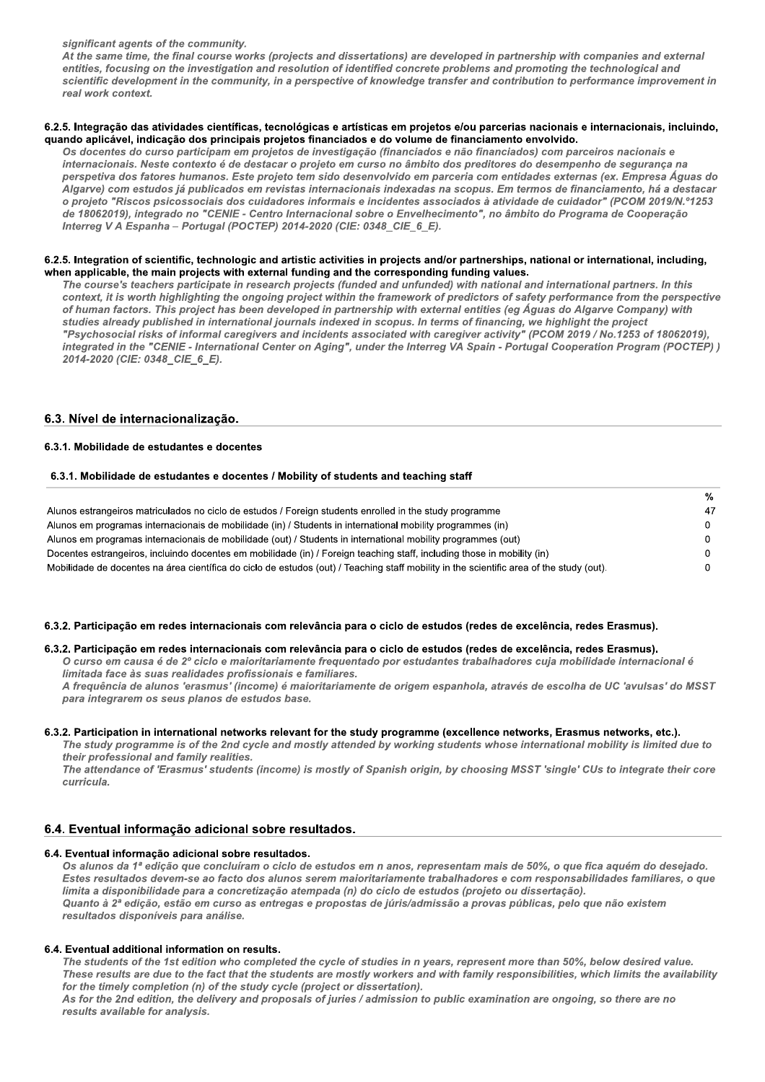significant agents of the community.

At the same time, the final course works (projects and dissertations) are developed in partnership with companies and external entities, focusing on the investigation and resolution of identified concrete problems and promoting the technological and scientific development in the community, in a perspective of knowledge transfer and contribution to performance improvement in real work context.

#### 6.2.5. Integração das atividades científicas, tecnológicas e artísticas em proietos e/ou parcerias nacionais e internacionais, incluindo, quando aplicável, indicação dos principais projetos financiados e do volume de financiamento envolvido.

Os docentes do curso participam em projetos de investigação (financiados e não financiados) com parceiros nacionais e internacionais. Neste contexto é de destacar o projeto em curso no âmbito dos preditores do desempenho de segurança na perspetiva dos fatores humanos. Este projeto tem sido desenvolvido em parceria com entidades externas (ex. Empresa Águas do .<br>Algarve) com estudos já publicados em revistas internacionais indexadas na scopus. Em termos de financiamento, há a destacar o projeto "Riscos psicossociais dos cuidadores informais e incidentes associados à atividade de cuidador" (PCOM 2019/N.º1253 de 18062019), integrado no "CENIE - Centro Internacional sobre o Envelhecimento", no âmbito do Programa de Cooperação Interreg V A Espanha - Portugal (POCTEP) 2014-2020 (CIE: 0348 CIE 6 E).

#### 6.2.5. Integration of scientific, technologic and artistic activities in projects and/or partnerships, national or international, including, when applicable, the main projects with external funding and the corresponding funding values.

The course's teachers participate in research projects (funded and unfunded) with national and international partners. In this context, it is worth highlighting the ongoing project within the framework of predictors of safety performance from the perspective of human factors. This project has been developed in partnership with external entities (eg Águas do Algarve Company) with studies already published in international journals indexed in scopus. In terms of financing, we highlight the project "Psychosocial risks of informal caregivers and incidents associated with caregiver activity" (PCOM 2019 / No.1253 of 18062019), integrated in the "CENIE - International Center on Aging", under the Interreg VA Spain - Portugal Cooperation Program (POCTEP)) 2014-2020 (CIE: 0348\_CIE\_6\_E).

## 6.3. Nível de internacionalização.

#### 6.3.1. Mobilidade de estudantes e docentes

#### 6.3.1. Mobilidade de estudantes e docentes / Mobility of students and teaching staff

|                                                                                                                                          | %          |
|------------------------------------------------------------------------------------------------------------------------------------------|------------|
| Alunos estrangeiros matriculados no ciclo de estudos / Foreign students enrolled in the study programme                                  | 47         |
| Alunos em programas internacionais de mobilidade (in) / Students in international mobility programmes (in)                               | $^{\circ}$ |
| Alunos em programas internacionais de mobilidade (out) / Students in international mobility programmes (out)                             | $^{\circ}$ |
| Docentes estrangeiros, incluindo docentes em mobilidade (in) / Foreign teaching staff, including those in mobility (in)                  | 0.         |
| Mobilidade de docentes na área científica do ciclo de estudos (out) / Teaching staff mobility in the scientific area of the study (out). | 0.         |

## 6.3.2. Participação em redes internacionais com relevância para o ciclo de estudos (redes de excelência, redes Erasmus).

#### 6.3.2. Participação em redes internacionais com relevância para o ciclo de estudos (redes de excelência, redes Erasmus).

O curso em causa é de 2º ciclo e maioritariamente frequentado por estudantes trabalhadores cuja mobilidade internacional é limitada face às suas realidades profissionais e familiares.

A frequência de alunos 'erasmus' (income) é maioritariamente de origem espanhola, através de escolha de UC 'avulsas' do MSST para integrarem os seus planos de estudos base.

#### 6.3.2. Participation in international networks relevant for the study programme (excellence networks, Erasmus networks, etc.).

The study programme is of the 2nd cycle and mostly attended by working students whose international mobility is limited due to their professional and family realities.

The attendance of 'Erasmus' students (income) is mostly of Spanish origin, by choosing MSST 'single' CUs to integrate their core curricula.

### 6.4. Eventual informação adicional sobre resultados.

#### 6.4. Eventual informação adicional sobre resultados.

Os alunos da 1ª edição que concluíram o ciclo de estudos em n anos, representam mais de 50%, o que fica aquém do desejado. Estes resultados devem-se ao facto dos alunos serem maioritariamente trabalhadores e com responsabilidades familiares, o que limita a disponibilidade para a concretização atempada (n) do ciclo de estudos (projeto ou dissertação). Quanto à 2ª edição, estão em curso as entregas e propostas de júris/admissão a provas públicas, pelo que não existem resultados disponíveis para análise.

#### 6.4. Eventual additional information on results.

The students of the 1st edition who completed the cycle of studies in n years, represent more than 50%, below desired value. These results are due to the fact that the students are mostly workers and with family responsibilities, which limits the availability for the timely completion (n) of the study cycle (project or dissertation).

As for the 2nd edition, the delivery and proposals of juries / admission to public examination are ongoing, so there are no results available for analysis.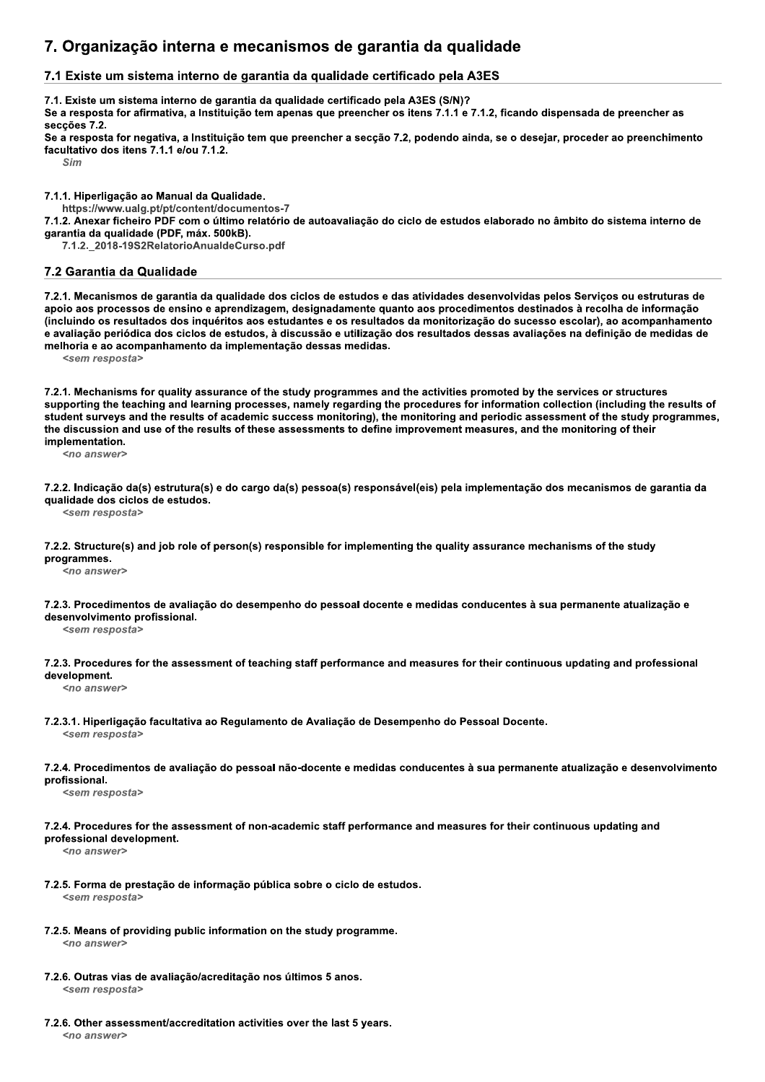# 7. Organização interna e mecanismos de garantia da qualidade

# 7.1 Existe um sistema interno de garantia da qualidade certificado pela A3ES

7.1. Existe um sistema interno de garantia da qualidade certificado pela A3ES (S/N)?

Se a resposta for afirmativa, a Instituição tem apenas que preencher os itens 7.1.1 e 7.1.2, ficando dispensada de preencher as secções 7.2.

Se a resposta for negativa, a Instituição tem que preencher a secção 7.2, podendo ainda, se o desejar, proceder ao preenchimento facultativo dos itens 7.1.1 e/ou 7.1.2.

Sim

7.1.1. Hiperligação ao Manual da Qualidade.

https://www.ualg.pt/pt/content/documentos-7

7.1.2. Anexar ficheiro PDF com o último relatório de autoavaliação do ciclo de estudos elaborado no âmbito do sistema interno de garantia da qualidade (PDF, máx. 500kB).

7.1.2. 2018-19S2RelatorioAnualdeCurso.pdf

### 7.2 Garantia da Qualidade

7.2.1. Mecanismos de garantia da qualidade dos ciclos de estudos e das atividades desenvolvidas pelos Serviços ou estruturas de apoio aos processos de ensino e aprendizagem, designadamente quanto aos procedimentos destinados à recolha de informação (incluindo os resultados dos inquéritos aos estudantes e os resultados da monitorização do sucesso escolar), ao acompanhamento e avaliação periódica dos ciclos de estudos, à discussão e utilização dos resultados dessas avaliações na definição de medidas de melhoria e ao acompanhamento da implementação dessas medidas.

<sem resposta>

7.2.1. Mechanisms for quality assurance of the study programmes and the activities promoted by the services or structures supporting the teaching and learning processes, namely regarding the procedures for information collection (including the results of student surveys and the results of academic success monitoring), the monitoring and periodic assessment of the study programmes, the discussion and use of the results of these assessments to define improvement measures, and the monitoring of their implementation.

<no answer>

7.2.2. Indicação da(s) estrutura(s) e do cargo da(s) pessoa(s) responsável(eis) pela implementação dos mecanismos de garantia da qualidade dos ciclos de estudos.

<sem resposta>

7.2.2. Structure(s) and job role of person(s) responsible for implementing the quality assurance mechanisms of the study programmes.

<no answer>

7.2.3. Procedimentos de avaliação do desempenho do pessoal docente e medidas conducentes à sua permanente atualização e desenvolvimento profissional.

<sem resposta>

7.2.3. Procedures for the assessment of teaching staff performance and measures for their continuous updating and professional development.

<no answer>

7.2.3.1. Hiperligação facultativa ao Regulamento de Avaliação de Desempenho do Pessoal Docente.

<sem resposta>

7.2.4. Procedimentos de avaliação do pessoal não-docente e medidas conducentes à sua permanente atualização e desenvolvimento profissional.

<sem resposta>

7.2.4. Procedures for the assessment of non-academic staff performance and measures for their continuous updating and professional development.

<no answer>

- 7.2.5. Forma de prestação de informação pública sobre o ciclo de estudos. <sem resposta>
- 7.2.5. Means of providing public information on the study programme.  $200 \text{ answers}$
- 7.2.6. Outras vias de avaliação/acreditação nos últimos 5 anos. <sem resposta>
- 7.2.6. Other assessment/accreditation activities over the last 5 years. <no answer>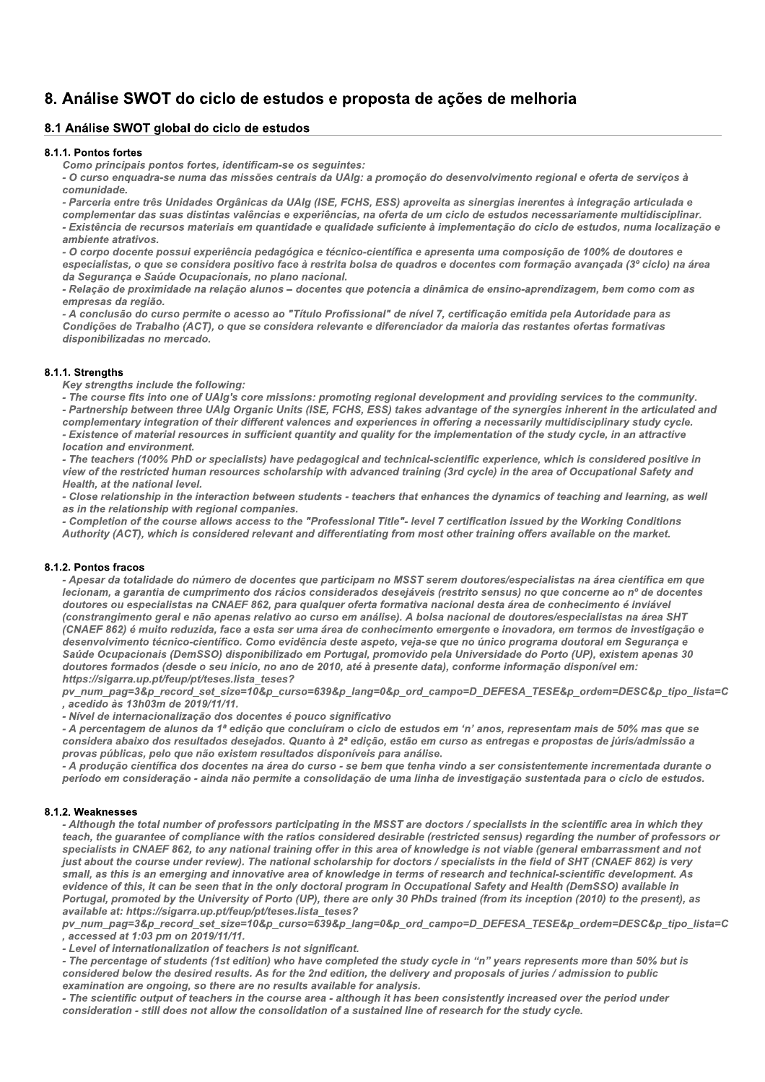# 8. Análise SWOT do ciclo de estudos e proposta de ações de melhoria

# 8.1 Análise SWOT global do ciclo de estudos

#### 8.1.1. Pontos fortes

Como principais pontos fortes, identificam-se os seguintes:

- O curso enquadra-se numa das missões centrais da UAIg: a promoção do desenvolvimento regional e oferta de serviços à comunidade.

- Parceria entre três Unidades Orgânicas da UAIg (ISE, FCHS, ESS) aproveita as sinergias inerentes à integração articulada e

complementar das suas distintas valências e experiências, na oferta de um ciclo de estudos necessariamente multidisciplinar. - Existência de recursos materiais em quantidade e qualidade suficiente à implementação do ciclo de estudos, numa localização e ambiente atrativos.

- O corpo docente possui experiência pedagógica e técnico-científica e apresenta uma composição de 100% de doutores e especialistas, o que se considera positivo face à restrita bolsa de quadros e docentes com formação avançada (3° ciclo) na área da Segurança e Saúde Ocupacionais, no plano nacional.

- Relação de proximidade na relação alunos - docentes que potencia a dinâmica de ensino-aprendizagem, bem como com as empresas da região.

- A conclusão do curso permite o acesso ao "Título Profissional" de nível 7, certificação emitida pela Autoridade para as Condições de Trabalho (ACT), o que se considera relevante e diferenciador da maioria das restantes ofertas formativas disponibilizadas no mercado.

### 8.1.1. Strengths

Key strengths include the following:

- The course fits into one of UAIg's core missions: promoting regional development and providing services to the community. - Partnership between three UAIg Organic Units (ISE, FCHS, ESS) takes advantage of the synergies inherent in the articulated and complementary integration of their different valences and experiences in offering a necessarily multidisciplinary study cycle. - Existence of material resources in sufficient quantity and quality for the implementation of the study cycle, in an attractive location and environment.

- The teachers (100% PhD or specialists) have pedagogical and technical-scientific experience, which is considered positive in view of the restricted human resources scholarship with advanced training (3rd cycle) in the area of Occupational Safety and Health, at the national level.

- Close relationship in the interaction between students - teachers that enhances the dynamics of teaching and learning, as well as in the relationship with regional companies.

- Completion of the course allows access to the "Professional Title"- level 7 certification issued by the Working Conditions Authority (ACT), which is considered relevant and differentiating from most other training offers available on the market.

### 8.1.2. Pontos fracos

- Apesar da totalidade do número de docentes que participam no MSST serem doutores/especialistas na área científica em que lecionam, a garantia de cumprimento dos rácios considerados desejáveis (restrito sensus) no que concerne ao nº de docentes doutores ou especialistas na CNAEF 862, para qualquer oferta formativa nacional desta área de conhecimento é inviável (constrangimento geral e não apenas relativo ao curso em análise). A bolsa nacional de doutores/especialistas na área SHT (CNAEF 862) é muito reduzida, face a esta ser uma área de conhecimento emergente e inovadora, em termos de investigação e desenvolvimento técnico-científico. Como evidência deste aspeto, veja-se que no único programa doutoral em Segurança e Saúde Ocupacionais (DemSSO) disponibilizado em Portugal, promovido pela Universidade do Porto (UP), existem apenas 30 doutores formados (desde o seu inicio, no ano de 2010, até à presente data), conforme informação disponível em: https://sigarra.up.pt/feup/pt/teses.lista teses?

pv num pag=3&p record set size=10&p curso=639&p lang=0&p ord campo=D DEFESA TESE&p ordem=DESC&p tipo lista=C , acedido às 13h03m de 2019/11/11.

- Nível de internacionalização dos docentes é pouco significativo

- A percentagem de alunos da 1ª edição que concluíram o ciclo de estudos em 'n' anos, representam mais de 50% mas que se considera abaixo dos resultados desejados. Quanto à 2ª edição, estão em curso as entregas e propostas de júris/admissão a provas públicas, pelo que não existem resultados disponíveis para análise.

- A produção científica dos docentes na área do curso - se bem que tenha vindo a ser consistentemente incrementada durante o período em consideração - ainda não permite a consolidação de uma linha de investigação sustentada para o ciclo de estudos.

#### 8.1.2. Weaknesses

- Although the total number of professors participating in the MSST are doctors / specialists in the scientific area in which they teach, the guarantee of compliance with the ratios considered desirable (restricted sensus) regarding the number of professors or specialists in CNAEF 862, to any national training offer in this area of knowledge is not viable (general embarrassment and not just about the course under review). The national scholarship for doctors / specialists in the field of SHT (CNAEF 862) is very small, as this is an emerging and innovative area of knowledge in terms of research and technical-scientific development. As evidence of this, it can be seen that in the only doctoral program in Occupational Safety and Health (DemSSO) available in Portugal, promoted by the University of Porto (UP), there are only 30 PhDs trained (from its inception (2010) to the present), as available at: https://sigarra.up.pt/feup/pt/teses.lista\_teses?

py num pag=3&p record set size=10&p curso=639&p lang=0&p ord campo=D DEFESA TESE&p ordem=DESC&p tipo lista=C , accessed at 1:03 pm on 2019/11/11.

- Level of internationalization of teachers is not significant.

- The percentage of students (1st edition) who have completed the study cycle in "n" years represents more than 50% but is considered below the desired results. As for the 2nd edition, the delivery and proposals of juries / admission to public examination are ongoing, so there are no results available for analysis.

- The scientific output of teachers in the course area - although it has been consistently increased over the period under consideration - still does not allow the consolidation of a sustained line of research for the study cycle.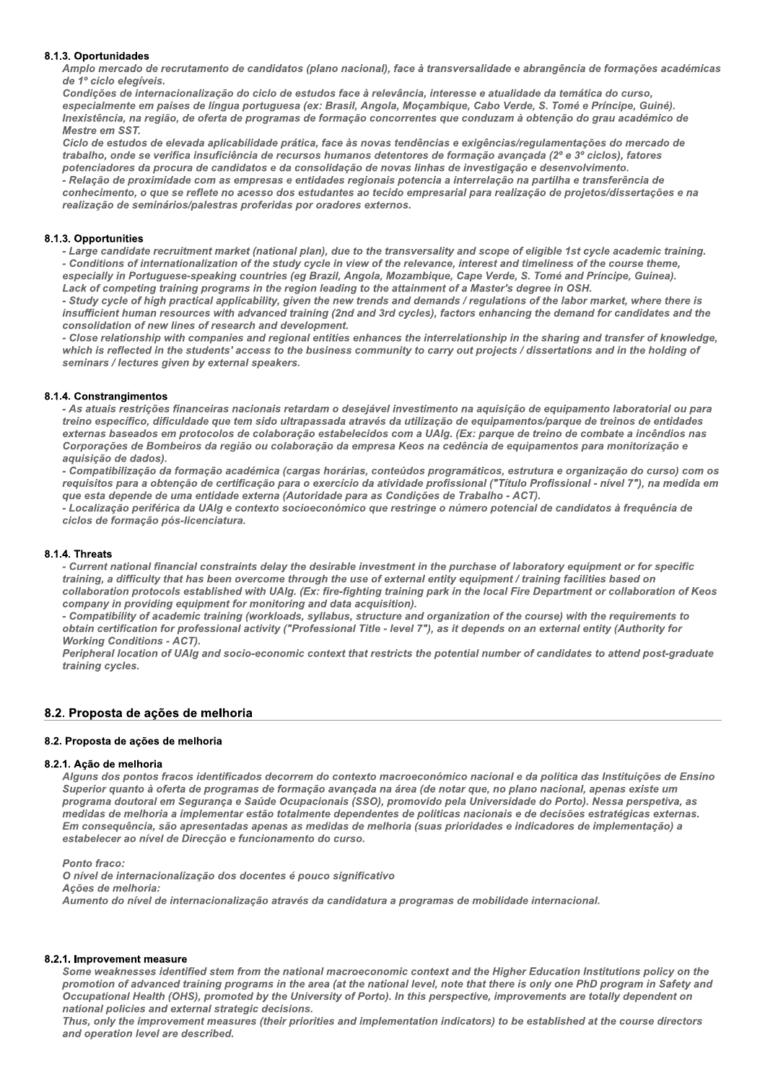#### 8.1.3. Oportunidades

Amplo mercado de recrutamento de candidatos (plano nacional), face à transversalidade e abrangência de formações académicas de 1º ciclo elegíveis.

Condições de internacionalização do ciclo de estudos face à relevância, interesse e atualidade da temática do curso, especialmente em países de língua portuguesa (ex: Brasil, Angola, Moçambique, Cabo Verde, S. Tomé e Príncipe, Guiné). Inexistência, na região, de oferta de programas de formação concorrentes que conduzam à obtenção do grau académico de Mestre em SST.

Ciclo de estudos de elevada aplicabilidade prática, face às novas tendências e exigências/regulamentações do mercado de trabalho, onde se verifica insuficiência de recursos humanos detentores de formação avançada (2° e 3° ciclos), fatores potenciadores da procura de candidatos e da consolidação de novas linhas de investigação e desenvolvimento.

- Relação de proximidade com as empresas e entidades regionais potencia a interrelação na partilha e transferência de conhecimento, o que se reflete no acesso dos estudantes ao tecido empresarial para realização de projetos/dissertações e na realização de seminários/palestras proferidas por oradores externos.

#### 8.1.3. Opportunities

- Large candidate recruitment market (national plan), due to the transversality and scope of eligible 1st cycle academic training. - Conditions of internationalization of the study cycle in view of the relevance, interest and timeliness of the course theme, especially in Portuguese-speaking countries (eg Brazil, Angola, Mozambique, Cape Verde, S. Tomé and Príncipe, Guinea). Lack of competing training programs in the region leading to the attainment of a Master's degree in OSH.

- Study cycle of high practical applicability, given the new trends and demands / regulations of the labor market, where there is insufficient human resources with advanced training (2nd and 3rd cycles), factors enhancing the demand for candidates and the consolidation of new lines of research and development.

- Close relationship with companies and regional entities enhances the interrelationship in the sharing and transfer of knowledge, which is reflected in the students' access to the business community to carry out projects / dissertations and in the holding of seminars / lectures given by external speakers.

### 8.1.4. Constrangimentos

- As atuais restrições financeiras nacionais retardam o desejável investimento na aquisição de equipamento laboratorial ou para treino específico, dificuldade que tem sido ultrapassada através da utilização de equipamentos/parque de treinos de entidades externas baseados em protocolos de colaboração estabelecidos com a UAIg. (Ex: parque de treino de combate a incêndios nas Corporações de Bombeiros da região ou colaboração da empresa Keos na cedência de equipamentos para monitorização e aquisição de dados).

- Compatibilização da formação académica (cargas horárias, conteúdos programáticos, estrutura e organização do curso) com os requisitos para a obtenção de certificação para o exercício da atividade profissional ("Título Profissional - nível 7"), na medida em que esta depende de uma entidade externa (Autoridade para as Condições de Trabalho - ACT).

- Localização periférica da UAIg e contexto socioeconómico que restringe o número potencial de candidatos à frequência de ciclos de formação pós-licenciatura.

### 8.1.4. Threats

- Current national financial constraints delay the desirable investment in the purchase of laboratory equipment or for specific training, a difficulty that has been overcome through the use of external entity equipment / training facilities based on collaboration protocols established with UAIg. (Ex: fire-fighting training park in the local Fire Department or collaboration of Keos company in providing equipment for monitoring and data acquisition).

- Compatibility of academic training (workloads, syllabus, structure and organization of the course) with the requirements to obtain certification for professional activity ("Professional Title - level 7"), as it depends on an external entity (Authority for **Working Conditions - ACT).** 

Peripheral location of UAIg and socio-economic context that restricts the potential number of candidates to attend post-graduate training cycles.

### 8.2. Proposta de ações de melhoria

#### 8.2. Proposta de ações de melhoria

#### 8.2.1. Ação de melhoria

Alguns dos pontos fracos identificados decorrem do contexto macroeconómico nacional e da politica das Instituições de Ensino Superior quanto à oferta de programas de formação avançada na área (de notar que, no plano nacional, apenas existe um programa doutoral em Segurança e Saúde Ocupacionais (SSO), promovido pela Universidade do Porto). Nessa perspetiva, as medidas de melhoria a implementar estão totalmente dependentes de politicas nacionais e de decisões estratégicas externas. Em conseguência, são apresentadas apenas as medidas de melhoria (suas prioridades e indicadores de implementação) a estabelecer ao nível de Direcção e funcionamento do curso.

Ponto fraco:

O nível de internacionalização dos docentes é pouco significativo Ações de melhoria: Aumento do nível de internacionalização através da candidatura a programas de mobilidade internacional.

#### 8.2.1. Improvement measure

Some weaknesses identified stem from the national macroeconomic context and the Higher Education Institutions policy on the promotion of advanced training programs in the area (at the national level, note that there is only one PhD program in Safety and Occupational Health (OHS), promoted by the University of Porto). In this perspective, improvements are totally dependent on national policies and external strategic decisions.

Thus, only the improvement measures (their priorities and implementation indicators) to be established at the course directors and operation level are described.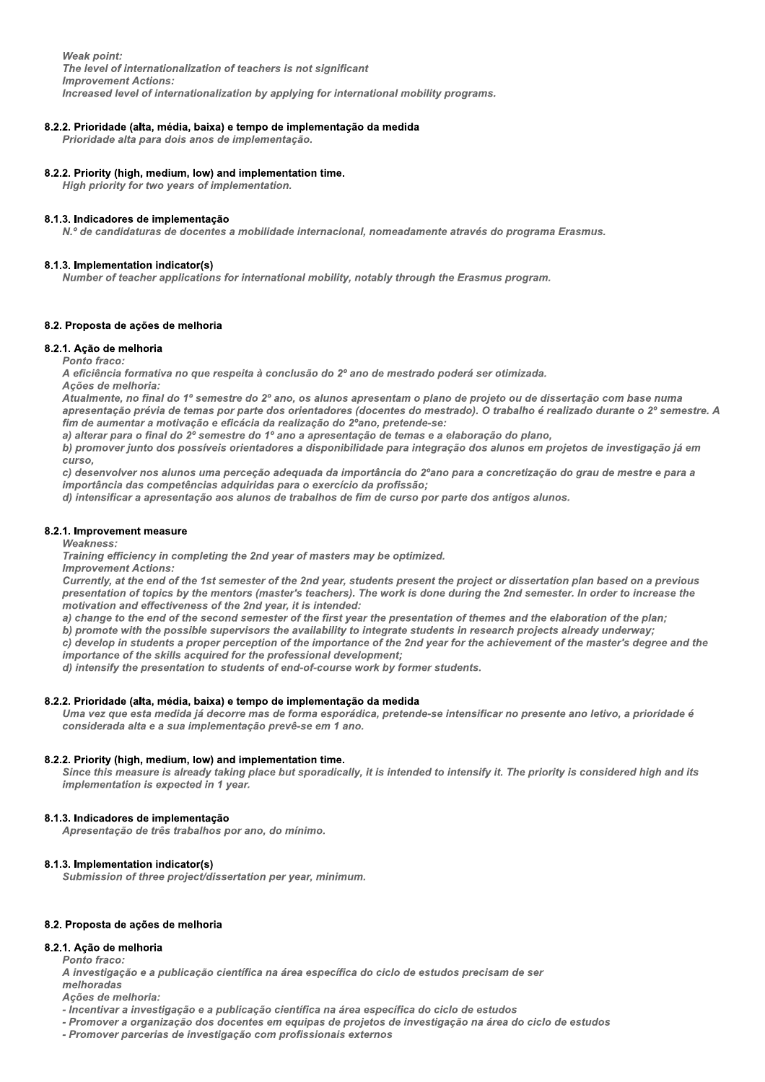**Weak point:** The level of internationalization of teachers is not significant **Improvement Actions:** Increased level of internationalization by applying for international mobility programs.

#### 8.2.2. Prioridade (alta, média, baixa) e tempo de implementação da medida

Prioridade alta para dois anos de implementação.

#### 8.2.2. Priority (high, medium, low) and implementation time.

High priority for two years of implementation.

#### 8.1.3. Indicadores de implementação

N.º de candidaturas de docentes a mobilidade internacional, nomeadamente através do programa Erasmus.

#### 8.1.3. Implementation indicator(s)

Number of teacher applications for international mobility, notably through the Erasmus program.

#### 8.2. Proposta de ações de melhoria

#### 8.2.1. Ação de melhoria

Ponto fraco:

A eficiência formativa no que respeita à conclusão do 2º ano de mestrado poderá ser otimizada.

Acões de melhoria:

Atualmente, no final do 1º semestre do 2º ano, os alunos apresentam o plano de projeto ou de dissertação com base numa apresentação prévia de temas por parte dos orientadores (docentes do mestrado). O trabalho é realizado durante o 2º semestre. A fim de aumentar a motivação e eficácia da realização do 2ºano, pretende-se:

a) alterar para o final do 2º semestre do 1º ano a apresentação de temas e a elaboração do plano,

b) promover junto dos possíveis orientadores a disponibilidade para integração dos alunos em projetos de investigação já em curso.

c) desenvolver nos alunos uma perceção adequada da importância do 2°ano para a concretização do grau de mestre e para a importância das competências adquiridas para o exercício da profissão;

d) intensificar a apresentação aos alunos de trabalhos de fim de curso por parte dos antigos alunos.

#### 8.2.1. Improvement measure

**Weakness:** 

Training efficiency in completing the 2nd year of masters may be optimized. **Improvement Actions:** 

Currently, at the end of the 1st semester of the 2nd year, students present the project or dissertation plan based on a previous presentation of topics by the mentors (master's teachers). The work is done during the 2nd semester. In order to increase the motivation and effectiveness of the 2nd year, it is intended:

a) change to the end of the second semester of the first year the presentation of themes and the elaboration of the plan;

b) promote with the possible supervisors the availability to integrate students in research projects already underway;

c) develop in students a proper perception of the importance of the 2nd year for the achievement of the master's degree and the importance of the skills acquired for the professional development;

d) intensify the presentation to students of end-of-course work by former students.

#### 8.2.2. Prioridade (alta, média, baixa) e tempo de implementação da medida

Uma vez que esta medida já decorre mas de forma esporádica, pretende-se intensificar no presente ano letivo, a prioridade é considerada alta e a sua implementação prevê-se em 1 ano.

#### 8.2.2. Priority (high, medium, low) and implementation time.

Since this measure is already taking place but sporadically, it is intended to intensify it. The priority is considered high and its implementation is expected in 1 year.

### 8.1.3. Indicadores de implementação

Apresentação de três trabalhos por ano, do mínimo.

#### 8.1.3. Implementation indicator(s)

Submission of three project/dissertation per year, minimum.

#### 8.2. Proposta de ações de melhoria

### 8.2.1. Ação de melhoria

Ponto fraco:

A investigação e a publicação científica na área específica do ciclo de estudos precisam de ser melhoradas

Ações de melhoria:

- Incentivar a investigação e a publicação científica na área específica do ciclo de estudos

- Promover a organização dos docentes em equipas de projetos de investigação na área do ciclo de estudos

- Promover parcerias de investigação com profissionais externos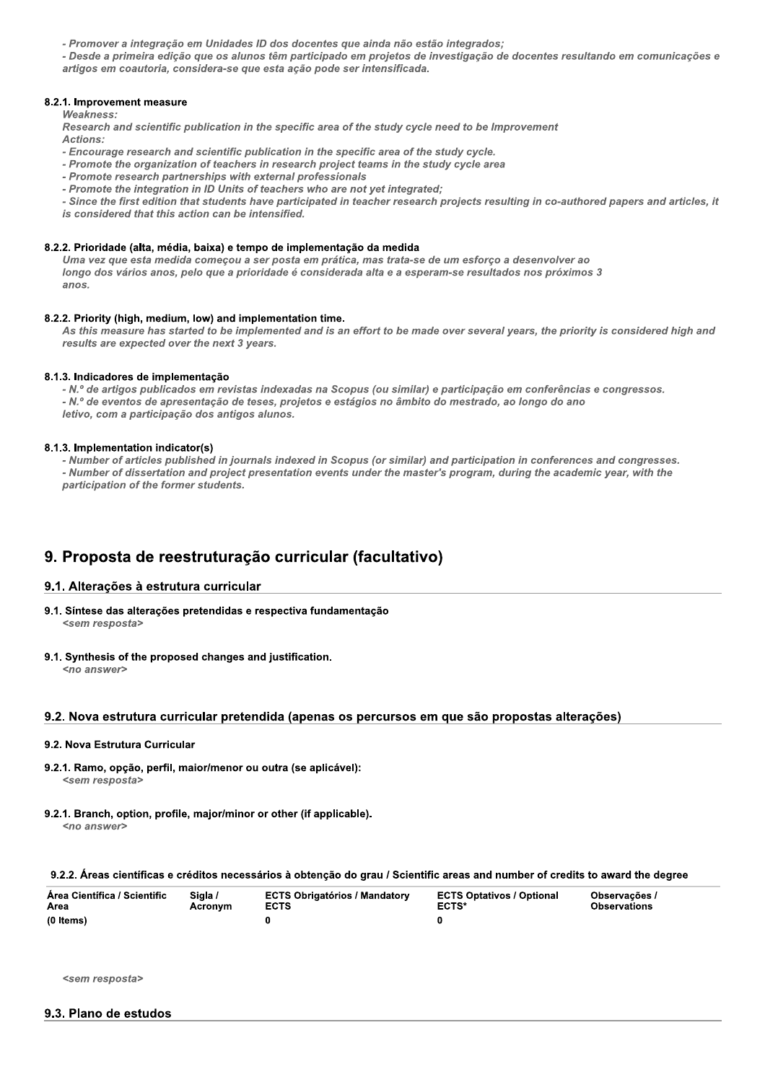- Promover a integração em Unidades ID dos docentes que ainda não estão integrados;

- Desde a primeira edição que os alunos têm participado em projetos de investigação de docentes resultando em comunicações e artigos em coautoria, considera-se que esta ação pode ser intensificada.

#### 8.2.1. Improvement measure

#### **Weakness**

Research and scientific publication in the specific area of the study cycle need to be Improvement Actions:

- Encourage research and scientific publication in the specific area of the study cycle.
- Promote the organization of teachers in research project teams in the study cycle area
- Promote research partnerships with external professionals
- Promote the integration in ID Units of teachers who are not yet integrated;

- Since the first edition that students have participated in teacher research projects resulting in co-authored papers and articles, it is considered that this action can be intensified.

#### 8.2.2. Prioridade (alta, média, baixa) e tempo de implementação da medida

Uma vez que esta medida começou a ser posta em prática, mas trata-se de um esforço a desenvolver ao longo dos vários anos, pelo que a prioridade é considerada alta e a esperam-se resultados nos próximos 3 anos.

#### 8.2.2. Priority (high, medium, low) and implementation time.

As this measure has started to be implemented and is an effort to be made over several years, the priority is considered high and results are expected over the next 3 years.

#### 8.1.3. Indicadores de implementação

- N.º de artigos publicados em revistas indexadas na Scopus (ou similar) e participação em conferências e congressos. - N.º de eventos de apresentação de teses, projetos e estágios no âmbito do mestrado, ao longo do ano letivo, com a participação dos antigos alunos.

#### 8.1.3. Implementation indicator(s)

- Number of articles published in journals indexed in Scopus (or similar) and participation in conferences and congresses. - Number of dissertation and project presentation events under the master's program, during the academic year, with the participation of the former students.

# 9. Proposta de reestruturação curricular (facultativo)

#### 9.1. Alterações à estrutura curricular

- 9.1. Síntese das alterações pretendidas e respectiva fundamentação <sem resposta>
- 9.1. Synthesis of the proposed changes and justification. <no answer>

#### 9.2. Nova estrutura curricular pretendida (apenas os percursos em que são propostas alterações)

#### 9.2. Nova Estrutura Curricular

- 9.2.1. Ramo, opção, perfil, maior/menor ou outra (se aplicável): <sem resposta>
- 9.2.1. Branch, option, profile, major/minor or other (if applicable).  $\langle$ no answer $\rangle$

#### 9.2.2. Áreas científicas e créditos necessários à obtenção do grau / Scientific areas and number of credits to award the degree

| Area Científica / Scientific | Siala / | <b>ECTS Obrigatórios / Mandatory</b> | <b>ECTS Optativos / Optional</b> | Observações /       |
|------------------------------|---------|--------------------------------------|----------------------------------|---------------------|
| Area                         | Acronvm | <b>ECTS</b>                          | <b>ECTS*</b>                     | <b>Observations</b> |
| (0 Items)                    |         |                                      |                                  |                     |

<sem resposta>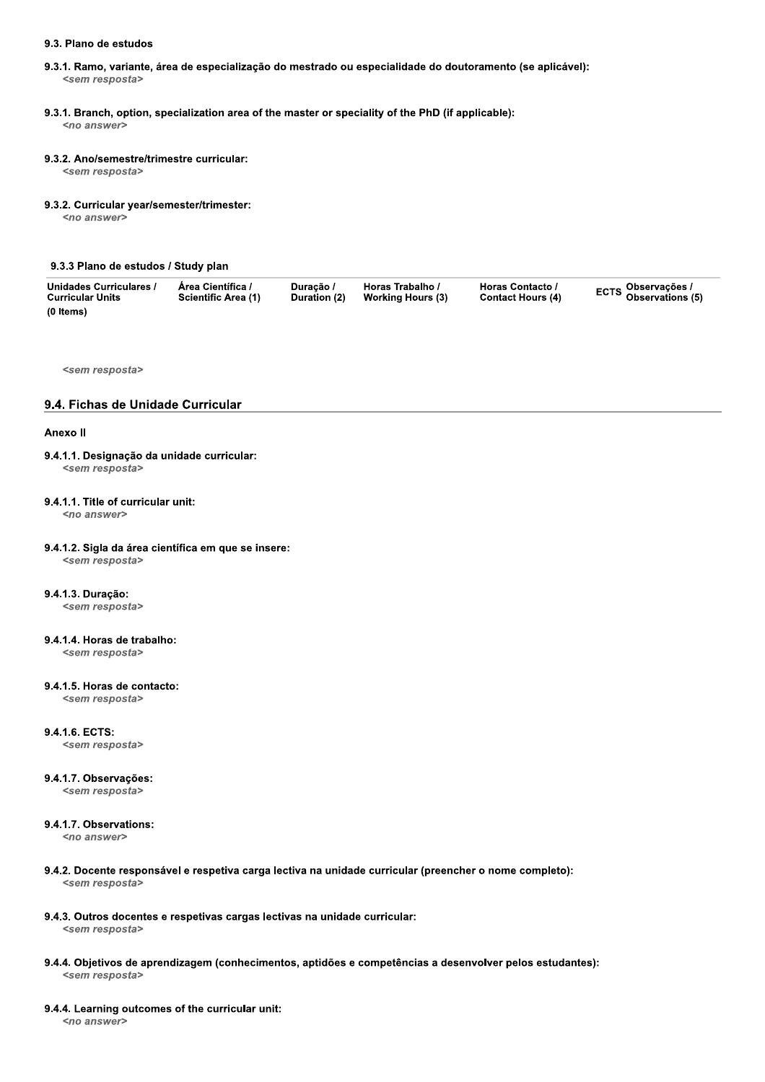#### 9.3. Plano de estudos

- 9.3.1. Ramo, variante, área de especialização do mestrado ou especialidade do doutoramento (se aplicável): <sem resposta>
- 9.3.1. Branch, option, specialization area of the master or speciality of the PhD (if applicable):

<no answer>

#### 9.3.2. Ano/semestre/trimestre curricular:

<sem resposta>

#### 9.3.2. Curricular year/semester/trimester:

<no answer>

#### 9.3.3 Plano de estudos / Study plan

| Unidades Curriculares / | Area Científica /          | Duracão /    | Horas Trabalho /  | Horas Contacto /         | ECTS <sup>Observações /</sup><br>Observations (5) |
|-------------------------|----------------------------|--------------|-------------------|--------------------------|---------------------------------------------------|
| <b>Curricular Units</b> | <b>Scientific Area (1)</b> | Duration (2) | Working Hours (3) | <b>Contact Hours (4)</b> |                                                   |
| (0 Items)               |                            |              |                   |                          |                                                   |

<sem resposta>

#### 9.4. Fichas de Unidade Curricular

#### Anexo II

# 9.4.1.1. Designação da unidade curricular:

<sem resposta>

#### 9.4.1.1. Title of curricular unit:

<no answer>

# 9.4.1.2. Sigla da área científica em que se insere:

<sem resposta>

#### 9.4.1.3. Duração:

<sem resposta>

# 9.4.1.4. Horas de trabalho:

<sem resposta>

#### 9.4.1.5. Horas de contacto:

<sem resposta>

#### 9.4.1.6. ECTS:

<sem resposta>

#### 9.4.1.7. Observações:

<sem resposta>

# 9.4.1.7. Observations:

<no answer>

- 9.4.2. Docente responsável e respetiva carga lectiva na unidade curricular (preencher o nome completo): <sem resposta>
- 9.4.3. Outros docentes e respetivas cargas lectivas na unidade curricular: <sem resposta>
- 9.4.4. Objetivos de aprendizagem (conhecimentos, aptidões e competências a desenvolver pelos estudantes): <sem resposta>

#### 9.4.4. Learning outcomes of the curricular unit:

<no answer>